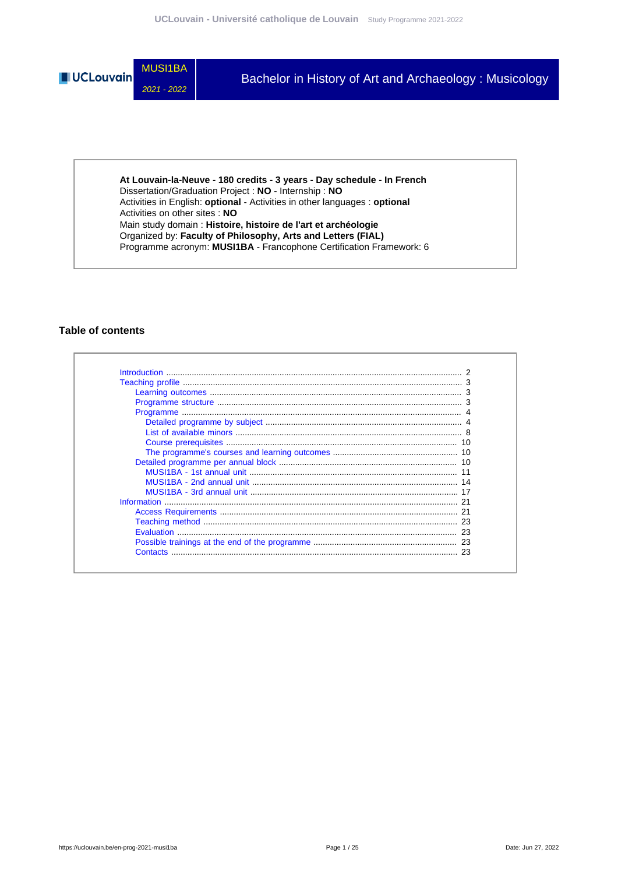

**At Louvain-la-Neuve - 180 credits - 3 years - Day schedule - In French** Dissertation/Graduation Project : **NO** - Internship : **NO** Activities in English: **optional** - Activities in other languages : **optional** Activities on other sites : **NO** Main study domain : **Histoire, histoire de l'art et archéologie** Organized by: **Faculty of Philosophy, Arts and Letters (FIAL)** Programme acronym: **MUSI1BA** - Francophone Certification Framework: 6

## **Table of contents**

| Contacts |  |
|----------|--|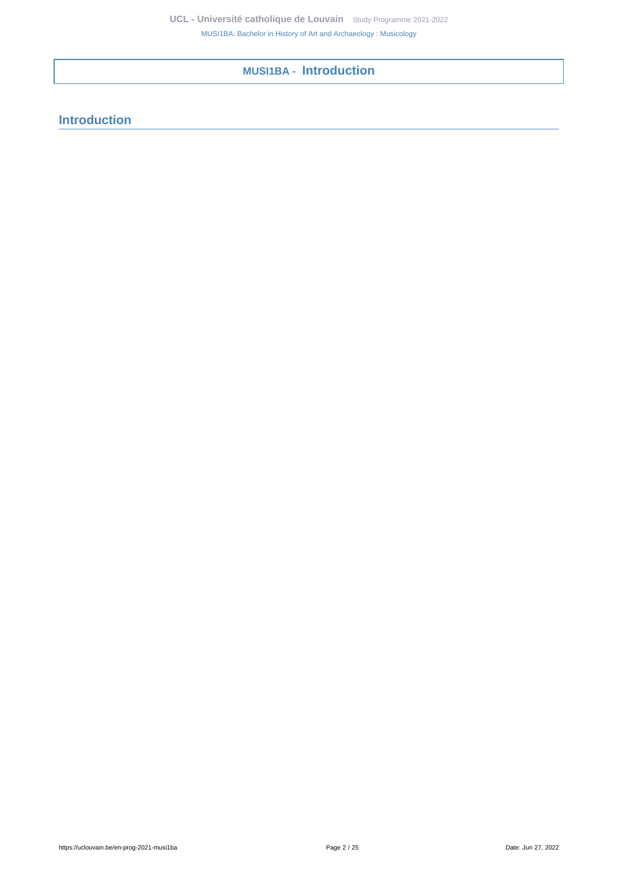**MUSI1BA - Introduction**

# <span id="page-1-0"></span>**Introduction**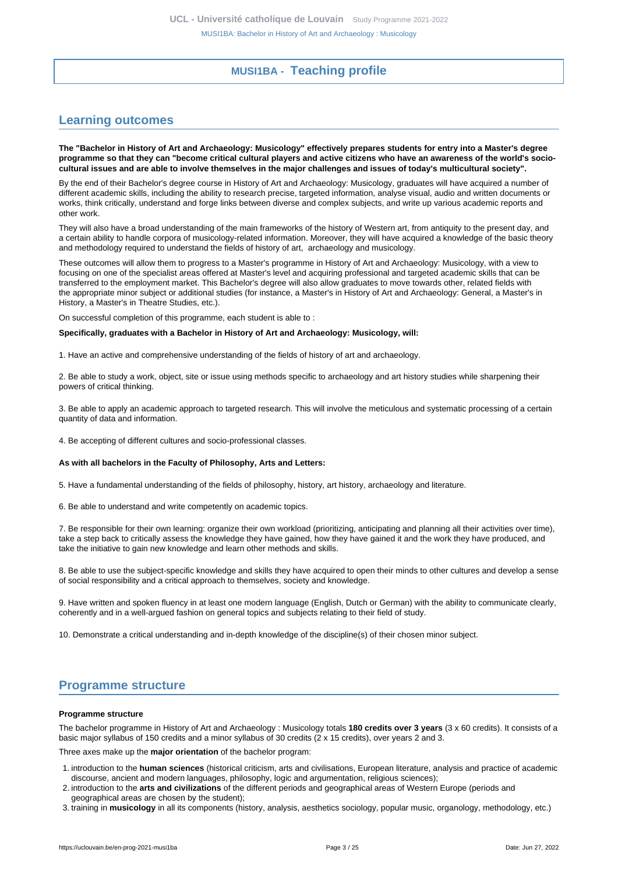# **MUSI1BA - Teaching profile**

# <span id="page-2-1"></span><span id="page-2-0"></span>**Learning outcomes**

**The "Bachelor in History of Art and Archaeology: Musicology" effectively prepares students for entry into a Master's degree programme so that they can "become critical cultural players and active citizens who have an awareness of the world's sociocultural issues and are able to involve themselves in the major challenges and issues of today's multicultural society".**

By the end of their Bachelor's degree course in History of Art and Archaeology: Musicology, graduates will have acquired a number of different academic skills, including the ability to research precise, targeted information, analyse visual, audio and written documents or works, think critically, understand and forge links between diverse and complex subjects, and write up various academic reports and other work.

They will also have a broad understanding of the main frameworks of the history of Western art, from antiquity to the present day, and a certain ability to handle corpora of musicology-related information. Moreover, they will have acquired a knowledge of the basic theory and methodology required to understand the fields of history of art, archaeology and musicology.

These outcomes will allow them to progress to a Master's programme in History of Art and Archaeology: Musicology, with a view to focusing on one of the specialist areas offered at Master's level and acquiring professional and targeted academic skills that can be transferred to the employment market. This Bachelor's degree will also allow graduates to move towards other, related fields with the appropriate minor subject or additional studies (for instance, a Master's in History of Art and Archaeology: General, a Master's in History, a Master's in Theatre Studies, etc.).

On successful completion of this programme, each student is able to :

#### **Specifically, graduates with a Bachelor in History of Art and Archaeology: Musicology, will:**

1. Have an active and comprehensive understanding of the fields of history of art and archaeology.

2. Be able to study a work, object, site or issue using methods specific to archaeology and art history studies while sharpening their powers of critical thinking.

3. Be able to apply an academic approach to targeted research. This will involve the meticulous and systematic processing of a certain quantity of data and information.

4. Be accepting of different cultures and socio-professional classes.

#### **As with all bachelors in the Faculty of Philosophy, Arts and Letters:**

5. Have a fundamental understanding of the fields of philosophy, history, art history, archaeology and literature.

6. Be able to understand and write competently on academic topics.

7. Be responsible for their own learning: organize their own workload (prioritizing, anticipating and planning all their activities over time), take a step back to critically assess the knowledge they have gained, how they have gained it and the work they have produced, and take the initiative to gain new knowledge and learn other methods and skills.

8. Be able to use the subject-specific knowledge and skills they have acquired to open their minds to other cultures and develop a sense of social responsibility and a critical approach to themselves, society and knowledge.

9. Have written and spoken fluency in at least one modern language (English, Dutch or German) with the ability to communicate clearly, coherently and in a well-argued fashion on general topics and subjects relating to their field of study.

10. Demonstrate a critical understanding and in-depth knowledge of the discipline(s) of their chosen minor subject.

# <span id="page-2-2"></span>**Programme structure**

#### **Programme structure**

The bachelor programme in History of Art and Archaeology : Musicology totals **180 credits over 3 years** (3 x 60 credits). It consists of a basic major syllabus of 150 credits and a minor syllabus of 30 credits (2 x 15 credits), over years 2 and 3.

Three axes make up the **major orientation** of the bachelor program:

- 1. introduction to the **human sciences** (historical criticism, arts and civilisations, European literature, analysis and practice of academic discourse, ancient and modern languages, philosophy, logic and argumentation, religious sciences);
- 2. introduction to the **arts and civilizations** of the different periods and geographical areas of Western Europe (periods and geographical areas are chosen by the student);
- 3. training in **musicology** in all its components (history, analysis, aesthetics sociology, popular music, organology, methodology, etc.)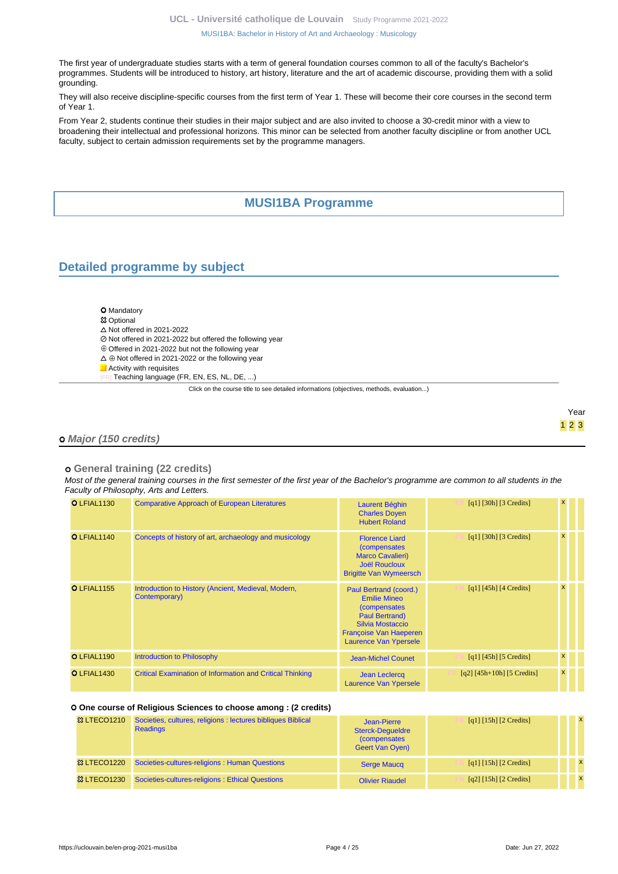The first year of undergraduate studies starts with a term of general foundation courses common to all of the faculty's Bachelor's programmes. Students will be introduced to history, art history, literature and the art of academic discourse, providing them with a solid grounding.

They will also receive discipline-specific courses from the first term of Year 1. These will become their core courses in the second term of Year 1.

From Year 2, students continue their studies in their major subject and are also invited to choose a 30-credit minor with a view to broadening their intellectual and professional horizons. This minor can be selected from another faculty discipline or from another UCL faculty, subject to certain admission requirements set by the programme managers.

# **MUSI1BA Programme**

# <span id="page-3-1"></span><span id="page-3-0"></span>**Detailed programme by subject**

- **O** Mandatory **83 Optional**  $\triangle$  Not offered in 2021-2022 ■ Not offered in 2021-2022 but offered the following year Offered in 2021-2022 but not the following year
- $\Delta \oplus$  Not offered in 2021-2022 or the following year
- **Activity with requisites** 
	- Teaching language (FR, EN, ES, NL, DE, ...)

Click on the course title to see detailed informations (objectives, methods, evaluation...)

### Year 1 2 3

### **Major (150 credits)**

## **General training (22 credits)**

Most of the general training courses in the first semester of the first year of the Bachelor's programme are common to all students in the Faculty of Philosophy, Arts and Letters.

| O LFIAL1130        | <b>Comparative Approach of European Literatures</b>                  | Laurent Béghin<br><b>Charles Doyen</b><br><b>Hubert Roland</b>                                                                                                               | $\lceil q_1 \rceil$ [30h] [3 Credits] | $\mathbf{x}$ |  |
|--------------------|----------------------------------------------------------------------|------------------------------------------------------------------------------------------------------------------------------------------------------------------------------|---------------------------------------|--------------|--|
| O LFIAL1140        | Concepts of history of art, archaeology and musicology               | <b>Florence Liard</b><br><i>(compensates)</i><br><b>Marco Cavalieri)</b><br><b>Joël Roucloux</b><br><b>Brigitte Van Wymeersch</b>                                            | $\lceil q_1 \rceil$ [30h] [3 Credits] | $\mathbf{x}$ |  |
| <b>O</b> LFIAL1155 | Introduction to History (Ancient, Medieval, Modern,<br>Contemporary) | Paul Bertrand (coord.)<br><b>Emilie Mineo</b><br><i>(compensates)</i><br><b>Paul Bertrand)</b><br>Silvia Mostaccio<br>Françoise Van Haeperen<br><b>Laurence Van Ypersele</b> | $\lceil q_1 \rceil$ [45h] [4 Credits] | X            |  |
| O LFIAL1190        | Introduction to Philosophy                                           | <b>Jean-Michel Counet</b>                                                                                                                                                    | $\lceil q_1 \rceil$ [45h] [5 Credits] | x            |  |
| O LFIAL1430        | <b>Critical Examination of Information and Critical Thinking</b>     | <b>Jean Leclercq</b><br><b>Laurence Van Ypersele</b>                                                                                                                         | $[q2] [45h+10h] [5 Credits]$          | $\mathsf{x}$ |  |

### **One course of Religious Sciences to choose among : (2 credits)**

| <sup>3</sup> LTECO1210 | Societies, cultures, religions : lectures bibliques Biblical<br><b>Readings</b> | Jean-Pierre<br><b>Sterck-Dequeldre</b><br><i>(compensates)</i><br><b>Geert Van Oven)</b> | [q1] $[15h]$ $[2$ Credits]                            |  |
|------------------------|---------------------------------------------------------------------------------|------------------------------------------------------------------------------------------|-------------------------------------------------------|--|
| <b>&amp; LTECO1220</b> | Societies-cultures-religions: Human Questions                                   | <b>Serge Maucq</b>                                                                       | [q1] $[15h]$ $[2$ Credits]                            |  |
| <b>&amp; LTECO1230</b> | Societies-cultures-religions: Ethical Questions                                 | <b>Olivier Riaudel</b>                                                                   | $\lceil q^2 \rceil$ [15h] $\lceil 2 \right]$ Credits] |  |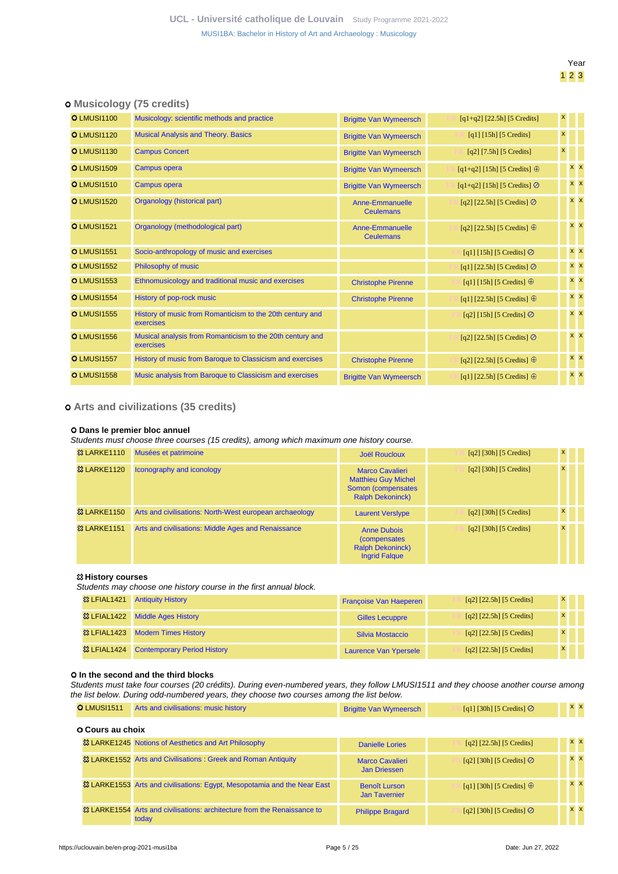## Year 1 2 3

## **Musicology (75 credits)**

| <b>O</b> LMUSI1100 | Musicology: scientific methods and practice                            | <b>Brigitte Van Wymeersch</b>              | $[q1+q2]$ [22.5h] [5 Credits]         | $\mathsf{x}$ |            |  |
|--------------------|------------------------------------------------------------------------|--------------------------------------------|---------------------------------------|--------------|------------|--|
| <b>O</b> LMUSI1120 | <b>Musical Analysis and Theory. Basics</b>                             | <b>Brigitte Van Wymeersch</b>              | $[q1]$ [15h] [5 Credits]              |              |            |  |
| <b>O</b> LMUSI1130 | <b>Campus Concert</b>                                                  | <b>Brigitte Van Wymeersch</b>              | $[q2]$ [7.5h] [5 Credits]             | x            |            |  |
| <b>O</b> LMUSI1509 | <b>Campus opera</b>                                                    | <b>Brigitte Van Wymeersch</b>              | $[q1+q2]$ [15h] [5 Credits] $\oplus$  |              | <b>x x</b> |  |
| <b>O</b> LMUSI1510 | <b>Campus opera</b>                                                    | <b>Brigitte Van Wymeersch</b>              | $[q1+q2]$ [15h] [5 Credits] $\oslash$ |              | $X$ $X$    |  |
| <b>O</b> LMUSI1520 | Organology (historical part)                                           | <b>Anne-Emmanuelle</b><br><b>Ceulemans</b> | [q2] [22.5h] [5 Credits] $\odot$      |              | $x \times$ |  |
| <b>O</b> LMUSI1521 | Organology (methodological part)                                       | <b>Anne-Emmanuelle</b><br><b>Ceulemans</b> | [q2] [22.5h] [5 Credits] $\oplus$     |              | <b>x</b> x |  |
| <b>O LMUSI1551</b> | Socio-anthropology of music and exercises                              |                                            | [q1] [15h] [5 Credits] $\oslash$      |              | <b>x x</b> |  |
| <b>O</b> LMUSI1552 | Philosophy of music                                                    |                                            | [q1] [22.5h] [5 Credits] $\oslash$    |              | <b>x</b> x |  |
| <b>O</b> LMUSI1553 | Ethnomusicology and traditional music and exercises                    | <b>Christophe Pirenne</b>                  | [q1] [15h] [5 Credits] $\oplus$       |              | <b>x x</b> |  |
| <b>O</b> LMUSI1554 | History of pop-rock music                                              | <b>Christophe Pirenne</b>                  | [q1] [22.5h] [5 Credits] $\oplus$     |              | $x \mid x$ |  |
| <b>O LMUSI1555</b> | History of music from Romanticism to the 20th century and<br>exercises |                                            | [q2] [15h] [5 Credits] $\oslash$      |              | <b>x x</b> |  |
| <b>O</b> LMUSI1556 | Musical analysis from Romanticism to the 20th century and<br>exercises |                                            | [q2] [22.5h] [5 Credits] $\oslash$    |              | $x \times$ |  |
| <b>O</b> LMUSI1557 | History of music from Baroque to Classicism and exercises              | <b>Christophe Pirenne</b>                  | [q2] [22.5h] [5 Credits] $\oplus$     |              | $x \mid x$ |  |
| <b>O</b> LMUSI1558 | Music analysis from Baroque to Classicism and exercises                | <b>Brigitte Van Wymeersch</b>              | [q1] [22.5h] [5 Credits] $\oplus$     |              | $x \mid x$ |  |
|                    |                                                                        |                                            |                                       |              |            |  |

## **Arts and civilizations (35 credits)**

### **Dans le premier bloc annuel**

Students must choose three courses (15 credits), among which maximum one history course.

| <b>&amp; LARKE1110</b>  | Musées et patrimoine                                    | Joël Roucloux                                                                                         | $\lceil q^2 \rceil$ [30h] [5 Credits] | $\mathbf{x}$ |  |
|-------------------------|---------------------------------------------------------|-------------------------------------------------------------------------------------------------------|---------------------------------------|--------------|--|
| <b>&amp; LARKE1120</b>  | Iconography and iconology                               | <b>Marco Cavalieri</b><br><b>Matthieu Guy Michel</b><br>Somon (compensates<br><b>Ralph Dekoninck)</b> | $\lceil q^2 \rceil$ [30h] [5 Credits] | $\mathbf{x}$ |  |
| <b>&amp;3 LARKE1150</b> | Arts and civilisations: North-West european archaeology | <b>Laurent Versiype</b>                                                                               | $\lceil q^2 \rceil$ [30h] [5 Credits] | $\mathbf{x}$ |  |
| <b>&amp;3 LARKE1151</b> | Arts and civilisations: Middle Ages and Renaissance     | <b>Anne Dubois</b><br><i>(compensates)</i><br><b>Ralph Dekoninck)</b><br><b>Ingrid Falgue</b>         | $\lceil q^2 \rceil$ [30h] [5 Credits] | $\mathbf{x}$ |  |

#### **History courses**

Students may choose one history course in the first annual block.

| <sup>3</sup> & LFIAL1421 Antiquity History          | <b>Françoise Van Haeperen</b> | $[q2]$ [22.5h] [5 Credits]     | $\mathsf{x}$ |  |
|-----------------------------------------------------|-------------------------------|--------------------------------|--------------|--|
| <sup>3</sup> LFIAL1422 Middle Ages History          | <b>Gilles Lecuppre</b>        | $[q2]$ $[22.5h]$ $[5$ Credits] | $\mathsf{x}$ |  |
| <sup>33</sup> LFIAL1423 Modern Times History        | Silvia Mostaccio              | $[q2]$ $[22.5h]$ $[5$ Credits] | $\mathsf{x}$ |  |
| <sup>23</sup> LFIAL1424 Contemporary Period History | Laurence Van Ypersele         | [q2] [22.5h] [5 Credits]       | $\mathsf{x}$ |  |

#### **0 In the second and the third blocks**

Students must take four courses (20 crédits). During even-numbered years, they follow LMUSI1511 and they choose another course among the list below. During odd-numbered years, they choose two courses among the list below.

| <b>O</b> LMUSI1511      | Arts and civilisations: music history                                              | <b>Brigitte Van Wymeersch</b>                 | [q1] [30h] [5 Credits] $\oslash$ | <b>x x</b> |  |
|-------------------------|------------------------------------------------------------------------------------|-----------------------------------------------|----------------------------------|------------|--|
| <b>O Cours au choix</b> |                                                                                    |                                               |                                  |            |  |
|                         | <sup>33</sup> LARKE1245 Notions of Aesthetics and Art Philosophy                   | <b>Danielle Lories</b>                        | $[q2]$ [22.5h] [5 Credits]       | $x \times$ |  |
|                         | 33 LARKE1552 Arts and Civilisations: Greek and Roman Antiquity                     | <b>Marco Cavalieri</b><br><b>Jan Driessen</b> | [q2] [30h] [5 Credits] $\odot$   | $x \times$ |  |
|                         | & LARKE1553 Arts and civilisations: Egypt, Mesopotamia and the Near East           | <b>Benoît Lurson</b><br><b>Jan Tavernier</b>  | [q1] [30h] [5 Credits] $\oplus$  | $x \times$ |  |
|                         | 33 LARKE1554 Arts and civilisations: architecture from the Renaissance to<br>today | <b>Philippe Bragard</b>                       | [q2] [30h] [5 Credits] $\oslash$ | $x \times$ |  |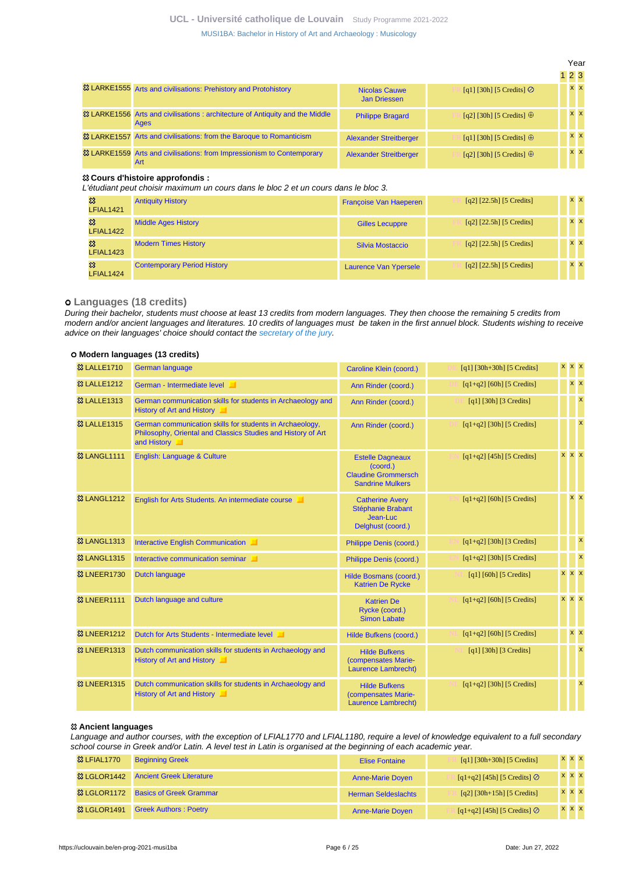[MUSI1BA: Bachelor in History of Art and Archaeology : Musicology](https://uclouvain.be/en-prog-2021-musi1ba.html)

|                                                                                      |                                      |                                  | 123 |            |
|--------------------------------------------------------------------------------------|--------------------------------------|----------------------------------|-----|------------|
| & LARKE1555 Arts and civilisations: Prehistory and Protohistory                      | Nicolas Cauwe<br><b>Jan Driessen</b> | $[q1]$ [30h] [5 Credits] $\odot$ |     | <b>x</b> x |
| & LARKE1556 Arts and civilisations: architecture of Antiquity and the Middle<br>Ages | <b>Philippe Bragard</b>              | [q2] [30h] [5 Credits] $\oplus$  |     | $x \times$ |
| <sup>33</sup> LARKE1557 Arts and civilisations: from the Baroque to Romanticism      | <b>Alexander Streitberger</b>        | [q1] [30h] [5 Credits] $\oplus$  |     | $x \times$ |
| 33 LARKE1559 Arts and civilisations: from Impressionism to Contemporary<br>Art       | <b>Alexander Streitberger</b>        | [q2] [30h] [5 Credits] $\oplus$  |     | $x \times$ |

#### **Cours d'histoire approfondis :**

L'étudiant peut choisir maximum un cours dans le bloc 2 et un cours dans le bloc 3.

| జ<br>LFIAL1421 | <b>Antiquity History</b>           | <b>Françoise Van Haeperen</b> | $[q2]$ $[22.5h]$ $[5$ Credits] | $x \times$ |  |
|----------------|------------------------------------|-------------------------------|--------------------------------|------------|--|
| జ<br>LFIAL1422 | <b>Middle Ages History</b>         | <b>Gilles Lecuppre</b>        | $[q2]$ [22.5h] [5 Credits]     | $X$ $X$    |  |
| జ<br>LFIAL1423 | <b>Modern Times History</b>        | Silvia Mostaccio              | $[q2]$ $[22.5h]$ $[5$ Credits] | $X$ $X$    |  |
| జ<br>LFIAL1424 | <b>Contemporary Period History</b> | Laurence Van Ypersele         | $[q2]$ [22.5h] [5 Credits]     | $X$ $X$    |  |

### **Languages (18 credits)**

During their bachelor, students must choose at least 13 credits from modern languages. They then choose the remaining 5 credits from modern and/or ancient languages and literatures. 10 credits of languages must be taken in the first annuel block. Students wishing to receive advice on their languages' choice should contact the [secretary of the jury](https://uclouvain.be/en-prog-musi1ba-contacts).

#### **Modern languages (13 credits)**

| <b>&amp;3 LALLE1710</b> | <b>German language</b>                                                                                                                  | Caroline Klein (coord.)                                                                      | $[q1]$ [30h+30h] [5 Credits] | x x x        |                           |
|-------------------------|-----------------------------------------------------------------------------------------------------------------------------------------|----------------------------------------------------------------------------------------------|------------------------------|--------------|---------------------------|
| <b>&amp; LALLE1212</b>  | German - Intermediate level                                                                                                             | Ann Rinder (coord.)                                                                          | $[q1+q2]$ [60h] [5 Credits]  |              | <b>x x</b>                |
| <b>&amp;3 LALLE1313</b> | German communication skills for students in Archaeology and<br>History of Art and History                                               | Ann Rinder (coord.)                                                                          | $[q1]$ [30h] [3 Credits]     |              | $\boldsymbol{\mathsf{x}}$ |
| <sup>33</sup> LALLE1315 | German communication skills for students in Archaeology,<br>Philosophy, Oriental and Classics Studies and History of Art<br>and History | Ann Rinder (coord.)                                                                          | $[q1+q2]$ [30h] [5 Credits]  |              | $\boldsymbol{\mathsf{x}}$ |
| <b>&amp;3 LANGL1111</b> | English: Language & Culture                                                                                                             | <b>Estelle Dagneaux</b><br>(coord.)<br><b>Claudine Grommersch</b><br><b>Sandrine Mulkers</b> | $[q1+q2]$ [45h] [5 Credits]  | $x \times x$ |                           |
| <b>&amp;3 LANGL1212</b> | English for Arts Students. An intermediate course                                                                                       | <b>Catherine Avery</b><br>Stéphanie Brabant<br>Jean-Luc<br>Delghust (coord.)                 | $[q1+q2]$ [60h] [5 Credits]  |              | $x \times$                |
| <b>&amp;3 LANGL1313</b> | Interactive English Communication                                                                                                       | Philippe Denis (coord.)                                                                      | $[q1+q2]$ [30h] [3 Credits]  |              | $\boldsymbol{\mathsf{x}}$ |
| <b>&amp;3 LANGL1315</b> | Interactive communication seminar                                                                                                       | Philippe Denis (coord.)                                                                      | $[q1+q2]$ [30h] [5 Credits]  |              | $\boldsymbol{\mathsf{x}}$ |
| <b>&amp;3 LNEER1730</b> | Dutch language                                                                                                                          | Hilde Bosmans (coord.)<br><b>Katrien De Rycke</b>                                            | [q1] [60h] [5 Credits]       | $x \times x$ |                           |
| <b>&amp; LNEER1111</b>  | Dutch language and culture                                                                                                              | <b>Katrien De</b><br>Rycke (coord.)<br><b>Simon Labate</b>                                   | $[q1+q2]$ [60h] [5 Credits]  | x x x        |                           |
| <b>&amp; LNEER1212</b>  | Dutch for Arts Students - Intermediate level                                                                                            | Hilde Bufkens (coord.)                                                                       | $[q1+q2]$ [60h] [5 Credits]  |              | <b>x x</b>                |
| <b>83 LNEER1313</b>     | Dutch communication skills for students in Archaeology and<br>History of Art and History                                                | <b>Hilde Bufkens</b><br>(compensates Marie-<br><b>Laurence Lambrecht)</b>                    | $[q1]$ [30h] [3 Credits]     |              | $\boldsymbol{\mathsf{x}}$ |
| <b>&amp; LNEER1315</b>  | Dutch communication skills for students in Archaeology and<br>History of Art and History                                                | <b>Hilde Bufkens</b><br>(compensates Marie-<br><b>Laurence Lambrecht)</b>                    | $[q1+q2]$ [30h] [5 Credits]  |              | $\mathsf{x}$              |

#### **Ancient languages**

Language and author courses, with the exception of LFIAL1770 and LFIAL1180, require a level of knowledge equivalent to a full secondary school course in Greek and/or Latin. A level test in Latin is organised at the beginning of each academic year.

| <sup>3</sup> LFIAL1770 | <b>Beginning Greek</b>          | <b>Elise Fontaine</b>      | $[q1] [30h+30h] [5 Credits]$          | x x x        |  |
|------------------------|---------------------------------|----------------------------|---------------------------------------|--------------|--|
| <b>&amp; LGLOR1442</b> | <b>Ancient Greek Literature</b> | <b>Anne-Marie Doyen</b>    | $[q1+q2] [45h] [5 Credits]$           | $x \times x$ |  |
| <b>&amp; LGLOR1172</b> | <b>Basics of Greek Grammar</b>  | <b>Herman Seldeslachts</b> | $[q2] [30h+15h] [5 Credits]$          | $x \times x$ |  |
| <sup>3</sup> LGLOR1491 | <b>Greek Authors: Poetry</b>    | <b>Anne-Marie Doyen</b>    | $[q1+q2]$ [45h] [5 Credits] $\oslash$ | $x \times x$ |  |

Year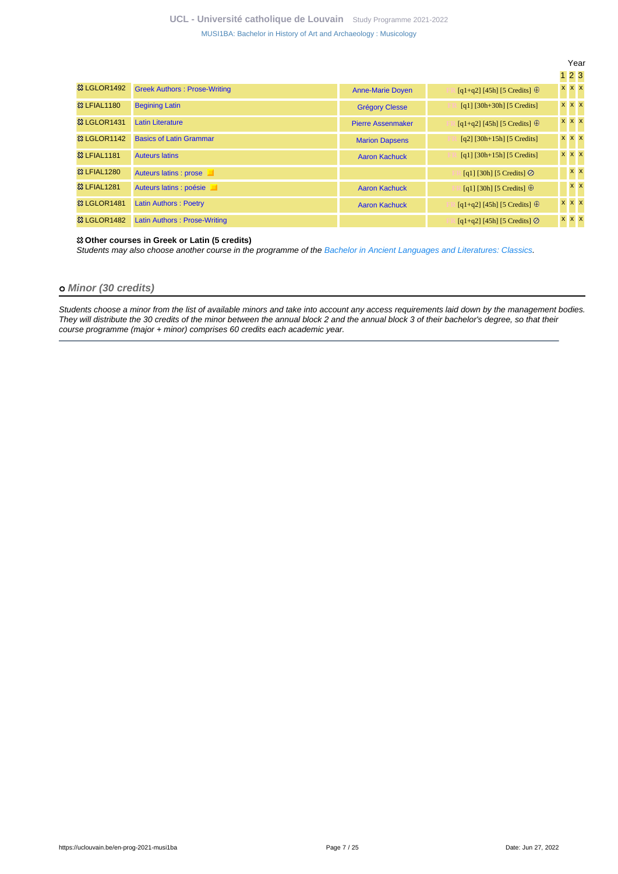|                         |                                     |                          |                                       | Year         |  |
|-------------------------|-------------------------------------|--------------------------|---------------------------------------|--------------|--|
|                         |                                     |                          |                                       | $1\,2\,3$    |  |
| <b>&amp; LGLOR1492</b>  | <b>Greek Authors: Prose-Writing</b> | <b>Anne-Marie Doyen</b>  | $[q1+q2]$ [45h] [5 Credits] $\oplus$  | <b>x</b> x x |  |
| <b>83 LFIAL1180</b>     | <b>Begining Latin</b>               | <b>Grégory Clesse</b>    | $[q1] [30h+30h] [5 Credits]$          | x x x        |  |
| <b>&amp; LGLOR1431</b>  | <b>Latin Literature</b>             | <b>Pierre Assenmaker</b> | $[q1+q2]$ [45h] [5 Credits] $\oplus$  | x x x        |  |
| <b>&amp; LGLOR1142</b>  | <b>Basics of Latin Grammar</b>      | <b>Marion Dapsens</b>    | $[q2]$ [30h+15h] [5 Credits]          | x x x        |  |
| <b>83 LFIAL1181</b>     | <b>Auteurs latins</b>               | <b>Aaron Kachuck</b>     | $[q1]$ [30h+15h] [5 Credits]          | x x x        |  |
| <b>83 LFIAL1280</b>     | Auteurs latins : prose              |                          | [q1] [30h] [5 Credits] $\odot$        | $x \times$   |  |
| <b>&amp; LFIAL1281</b>  | Auteurs latins : poésie             | <b>Aaron Kachuck</b>     | [q1] [30h] [5 Credits] $\oplus$       | $x \times$   |  |
| <sup>33</sup> LGLOR1481 | <b>Latin Authors: Poetry</b>        | <b>Aaron Kachuck</b>     | $[q1+q2]$ [45h] [5 Credits] $\oplus$  | x x x        |  |
| <b>&amp; LGLOR1482</b>  | Latin Authors: Prose-Writing        |                          | $[q1+q2]$ [45h] [5 Credits] $\oslash$ | <b>x</b> x x |  |

### **Other courses in Greek or Latin (5 credits)**

Students may also choose another course in the programme of the [Bachelor in Ancient Languages and Literatures: Classics](https://uclouvain.be/en-prog-clas1ba-ppm).

### **Minor (30 credits)**

Students choose a minor from the list of available minors and take into account any access requirements laid down by the management bodies. They will distribute the 30 credits of the minor between the annual block 2 and the annual block 3 of their bachelor's degree, so that their course programme (major + minor) comprises 60 credits each academic year.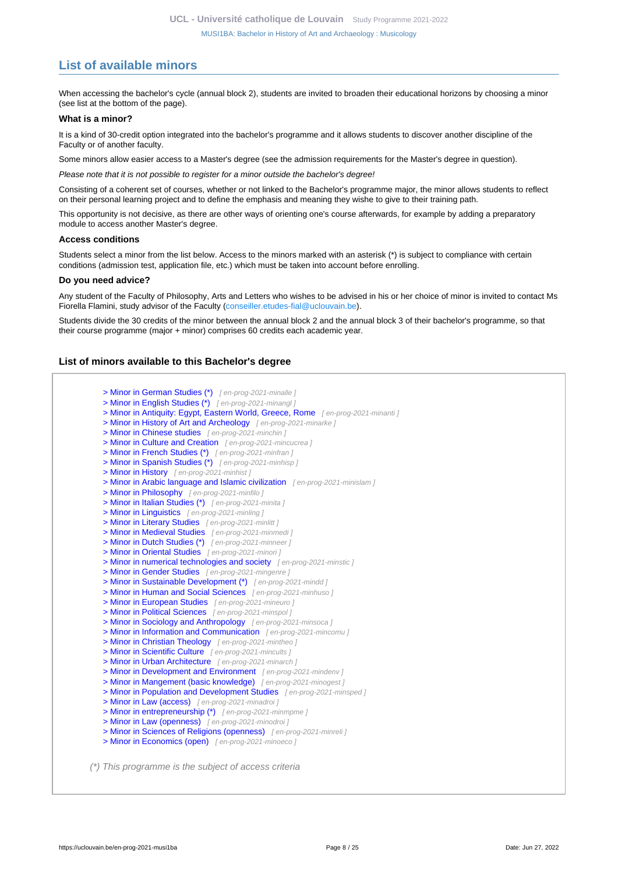# <span id="page-7-0"></span>**List of available minors**

When accessing the bachelor's cycle (annual block 2), students are invited to broaden their educational horizons by choosing a minor (see list at the bottom of the page).

#### **What is a minor?**

It is a kind of 30-credit option integrated into the bachelor's programme and it allows students to discover another discipline of the Faculty or of another faculty.

Some minors allow easier access to a Master's degree (see the admission requirements for the Master's degree in question).

Please note that it is not possible to register for a minor outside the bachelor's degree!

Consisting of a coherent set of courses, whether or not linked to the Bachelor's programme major, the minor allows students to reflect on their personal learning project and to define the emphasis and meaning they wishe to give to their training path.

This opportunity is not decisive, as there are other ways of orienting one's course afterwards, for example by adding a preparatory module to access another Master's degree.

#### **Access conditions**

Students select a minor from the list below. Access to the minors marked with an asterisk (\*) is subject to compliance with certain conditions (admission test, application file, etc.) which must be taken into account before enrolling.

#### **Do you need advice?**

Any student of the Faculty of Philosophy, Arts and Letters who wishes to be advised in his or her choice of minor is invited to contact Ms Fiorella Flamini, study advisor of the Faculty ([conseiller.etudes-fial@uclouvain.be\)](https://uclouvain.be/mailto:conseiller.etudes-fial@uclouvain.be).

Students divide the 30 credits of the minor between the annual block 2 and the annual block 3 of their bachelor's programme, so that their course programme (major + minor) comprises 60 credits each academic year.

### **List of minors available to this Bachelor's degree**

| > Minor in Antiquity: Egypt, Eastern World, Greece, Rome [en-prog-2021-minanti] |
|---------------------------------------------------------------------------------|
| > Minor in History of Art and Archeology [en-prog-2021-minarke]                 |
| > Minor in Chinese studies [en-prog-2021-minchin]                               |
| > Minor in Culture and Creation [en-prog-2021-mincucrea]                        |
| > Minor in French Studies (*) [en-prog-2021-minfran]                            |
| > Minor in Spanish Studies (*) [en-prog-2021-minhisp]                           |
| > Minor in History [en-prog-2021-minhist]                                       |
| > Minor in Arabic language and Islamic civilization [en-prog-2021-minislam]     |
| > Minor in Philosophy [en-prog-2021-minfilo]                                    |
| > Minor in Italian Studies (*) [en-prog-2021-minita]                            |
| > Minor in Linguistics [en-prog-2021-minling]                                   |
| > Minor in Literary Studies [en-prog-2021-minlitt]                              |
| > Minor in Medieval Studies [en-prog-2021-minmedi]                              |
| > Minor in Dutch Studies (*) [en-prog-2021-minneer]                             |
| > Minor in Oriental Studies [en-prog-2021-minori]                               |
| > Minor in numerical technologies and society [en-prog-2021-minstic]            |
| > Minor in Gender Studies [en-prog-2021-mingenre]                               |
| > Minor in Sustainable Development (*) [en-prog-2021-mindd]                     |
| > Minor in Human and Social Sciences [en-prog-2021-minhuso]                     |
| > Minor in European Studies [en-prog-2021-mineuro]                              |
| > Minor in Political Sciences [en-prog-2021-minspol]                            |
| > Minor in Sociology and Anthropology [en-prog-2021-minsoca]                    |
| > Minor in Information and Communication [en-prog-2021-mincomu]                 |
| > Minor in Christian Theology [en-prog-2021-mintheo]                            |
| > Minor in Scientific Culture [en-prog-2021-mincults]                           |
| > Minor in Urban Architecture [en-prog-2021-minarch]                            |
| > Minor in Development and Environment [en-prog-2021-mindenv]                   |
| > Minor in Mangement (basic knowledge) [en-prog-2021-minogest]                  |
| > Minor in Population and Development Studies [en-prog-2021-minsped]            |
| > Minor in Law (access) [en-prog-2021-minadroi]                                 |
| > Minor in entrepreneurship (*) [en-prog-2021-minmpme]                          |
| > Minor in Law (openness) [en-prog-2021-minodroi]                               |
| > Minor in Sciences of Religions (openness) [en-prog-2021-minreli]              |
| > Minor in Economics (open) [en-prog-2021-minoeco]                              |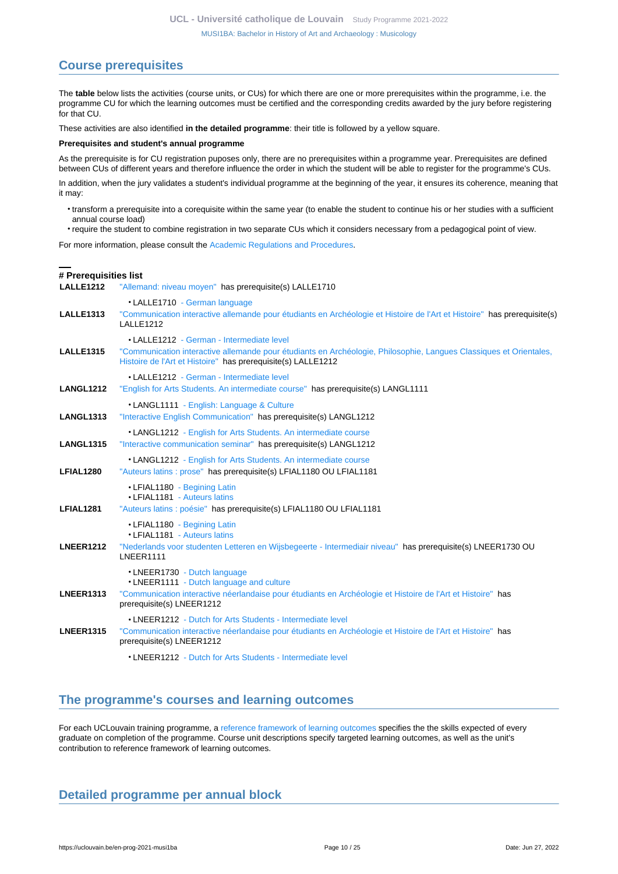# <span id="page-9-0"></span>**Course prerequisites**

The **table** below lists the activities (course units, or CUs) for which there are one or more prerequisites within the programme, i.e. the programme CU for which the learning outcomes must be certified and the corresponding credits awarded by the jury before registering for that CU.

These activities are also identified **in the detailed programme**: their title is followed by a yellow square.

### **Prerequisites and student's annual programme**

As the prerequisite is for CU registration puposes only, there are no prerequisites within a programme year. Prerequisites are defined between CUs of different years and therefore influence the order in which the student will be able to register for the programme's CUs.

In addition, when the jury validates a student's individual programme at the beginning of the year, it ensures its coherence, meaning that it may:

- transform a prerequisite into a corequisite within the same year (to enable the student to continue his or her studies with a sufficient annual course load)
- require the student to combine registration in two separate CUs which it considers necessary from a pedagogical point of view.

For more information, please consult the [Academic Regulations and Procedures](https://uclouvain.be/fr/decouvrir/rgee.html).

### **# Prerequisities list**

**LALLE1212** ["Allemand: niveau moyen"](https://uclouvain.be/en-cours-2021-LALLE1212) has prerequisite(s) LALLE1710

|                  | • LALLE1710 - German language                                                                                                                                                      |
|------------------|------------------------------------------------------------------------------------------------------------------------------------------------------------------------------------|
| <b>LALLE1313</b> | "Communication interactive allemande pour étudiants en Archéologie et Histoire de l'Art et Histoire" has prerequisite(s)<br>LALLE1212                                              |
|                  | •   ALLE1212 - German - Intermediate level                                                                                                                                         |
| <b>LALLE1315</b> | "Communication interactive allemande pour étudiants en Archéologie, Philosophie, Langues Classiques et Orientales,<br>Histoire de l'Art et Histoire" has prerequisite(s) LALLE1212 |
|                  | • LALLE1212 - German - Intermediate level                                                                                                                                          |
| <b>LANGL1212</b> | "English for Arts Students. An intermediate course" has prerequisite(s) LANGL1111                                                                                                  |
|                  | • LANGL1111 - English: Language & Culture                                                                                                                                          |
| <b>LANGL1313</b> | "Interactive English Communication" has prerequisite(s) LANGL1212                                                                                                                  |
|                  | • LANGL1212 - English for Arts Students. An intermediate course                                                                                                                    |
| <b>LANGL1315</b> | "Interactive communication seminar" has prerequisite(s) LANGL1212                                                                                                                  |
| LFIAL1280        | • LANGL1212 - English for Arts Students. An intermediate course<br>"Auteurs latins : prose" has prerequisite(s) LFIAL1180 OU LFIAL1181                                             |
|                  | • LFIAL1180 - Begining Latin                                                                                                                                                       |
|                  | • LFIAL1181 - Auteurs latins                                                                                                                                                       |
| <b>LFIAL1281</b> | "Auteurs latins : poésie" has prerequisite(s) LFIAL1180 OU LFIAL1181                                                                                                               |
|                  | • LFIAL1180 - Begining Latin<br>• LFIAL1181 - Auteurs latins                                                                                                                       |
| <b>LNEER1212</b> | "Nederlands voor studenten Letteren en Wijsbegeerte - Intermediair niveau" has prerequisite(s) LNEER1730 OU<br>LNEER1111                                                           |
|                  | •LNEER1730 - Dutch language                                                                                                                                                        |
|                  | •LNEER1111 - Dutch language and culture                                                                                                                                            |
| <b>LNEER1313</b> | "Communication interactive néerlandaise pour étudiants en Archéologie et Histoire de l'Art et Histoire" has<br>prerequisite(s) LNEER1212                                           |
|                  | • LNEER1212 - Dutch for Arts Students - Intermediate level                                                                                                                         |
| <b>LNEER1315</b> | "Communication interactive néerlandaise pour étudiants en Archéologie et Histoire de l'Art et Histoire" has<br>prerequisite(s) LNEER1212                                           |
|                  | • LNEER1212 - Dutch for Arts Students - Intermediate level                                                                                                                         |

## <span id="page-9-1"></span>**The programme's courses and learning outcomes**

For each UCLouvain training programme, a [reference framework of learning outcomes](https://uclouvain.be/en-prog-2021-musi1ba-competences_et_acquis.html) specifies the the skills expected of every graduate on completion of the programme. Course unit descriptions specify targeted learning outcomes, as well as the unit's contribution to reference framework of learning outcomes.

# <span id="page-9-2"></span>**Detailed programme per annual block**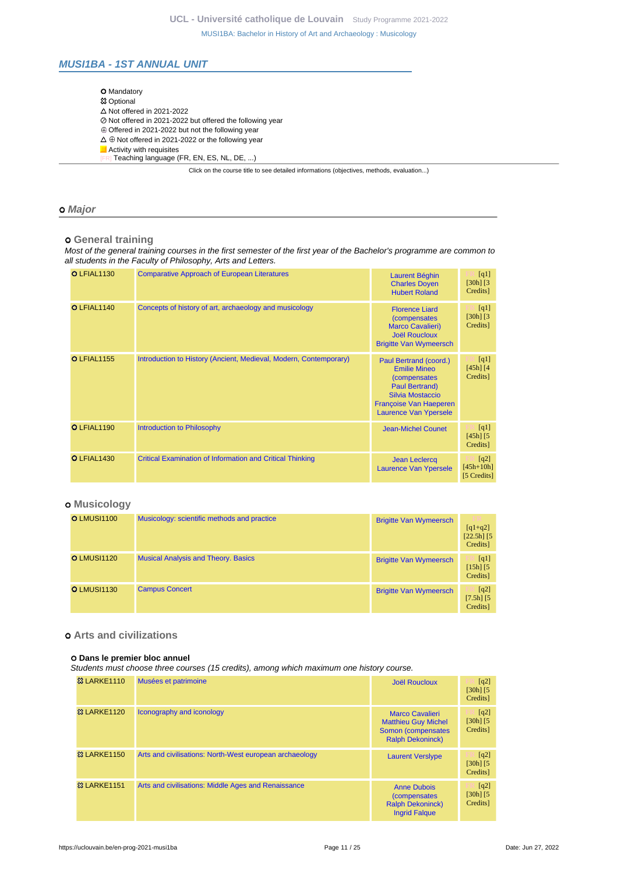## <span id="page-10-0"></span>**MUSI1BA - 1ST ANNUAL UNIT**

| <b>O</b> Mandatory                                                                       |
|------------------------------------------------------------------------------------------|
| <b>83 Optional</b>                                                                       |
| $\triangle$ Not offered in 2021-2022                                                     |
| ⊘ Not offered in 2021-2022 but offered the following year                                |
| $\oplus$ Offered in 2021-2022 but not the following year                                 |
| $\Delta \oplus$ Not offered in 2021-2022 or the following year                           |
| Activity with requisites                                                                 |
| [FR] Teaching language (FR, EN, ES, NL, DE, )                                            |
| Click on the course title to see detailed informations (objectives, methods, evaluation) |

### **Major**

 **General training**

Most of the general training courses in the first semester of the first year of the Bachelor's programme are common to all students in the Faculty of Philosophy, Arts and Letters.

| <b>O</b> LFIAL1130 | <b>Comparative Approach of European Literatures</b>               | <b>Laurent Béghin</b><br><b>Charles Doyen</b><br><b>Hubert Roland</b>                                                                                                       | [q1]<br>$[30h]$ $[3]$<br>Credits]  |
|--------------------|-------------------------------------------------------------------|-----------------------------------------------------------------------------------------------------------------------------------------------------------------------------|------------------------------------|
| O LFIAL1140        | Concepts of history of art, archaeology and musicology            | <b>Florence Liard</b><br><i>(compensates)</i><br><b>Marco Cavalieri)</b><br><b>Joël Roucloux</b><br><b>Brigitte Van Wymeersch</b>                                           | [q1]<br>$[30h]$ $[3]$<br>Credits]  |
| <b>O</b> LFIAL1155 | Introduction to History (Ancient, Medieval, Modern, Contemporary) | Paul Bertrand (coord.)<br><b>Emilie Mineo</b><br>(compensates<br>Paul Bertrand)<br><b>Silvia Mostaccio</b><br><b>Françoise Van Haeperen</b><br><b>Laurence Van Ypersele</b> | [q1]<br>$[45h]$ $[4]$<br>Credits]  |
| O LFIAL1190        | <b>Introduction to Philosophy</b>                                 | <b>Jean-Michel Counet</b>                                                                                                                                                   | [q1]<br>$[45h]$ $[5]$<br>Credits]  |
| <b>O</b> LFIAL1430 | <b>Critical Examination of Information and Critical Thinking</b>  | <b>Jean Leclercq</b><br>Laurence Van Ypersele                                                                                                                               | [q2]<br>$[45h+10h]$<br>[5 Credits] |

## **Musicology**

| <b>O</b> LMUSI1100 | Musicology: scientific methods and practice | <b>Brigitte Van Wymeersch</b> | <b>TR</b><br>$[q1+q2]$<br>$[22.5h]$ [5]<br>Credits] |
|--------------------|---------------------------------------------|-------------------------------|-----------------------------------------------------|
| <b>O</b> LMUSI1120 | <b>Musical Analysis and Theory. Basics</b>  | <b>Brigitte Van Wymeersch</b> | [q1]<br>$[15h]$ $[5]$<br>Credits]                   |
| <b>O LMUSI1130</b> | <b>Campus Concert</b>                       | <b>Brigitte Van Wymeersch</b> | [q2]<br>$[7.5h]$ $[5]$<br>Credits]                  |

# **Arts and civilizations**

#### **Dans le premier bloc annuel**

Students must choose three courses (15 credits), among which maximum one history course.

| <b>&amp;3 LARKE1110</b> | Musées et patrimoine                                    | <b>Joël Roucloux</b>                                                                                  | [q2]<br>$[30h]$ $[5]$<br>Credits]                |
|-------------------------|---------------------------------------------------------|-------------------------------------------------------------------------------------------------------|--------------------------------------------------|
| <b>&amp; LARKE1120</b>  | Iconography and iconology                               | <b>Marco Cavalieri</b><br><b>Matthieu Guy Michel</b><br>Somon (compensates<br><b>Ralph Dekoninck)</b> | $\lceil q^2 \rceil$<br>$[30h]$ $[5]$<br>Credits] |
| <b>&amp;3 LARKE1150</b> | Arts and civilisations: North-West european archaeology | <b>Laurent Versiype</b>                                                                               | [q2]<br>$[30h]$ $[5]$<br>Credits]                |
| <b>&amp;3 LARKE1151</b> | Arts and civilisations: Middle Ages and Renaissance     | <b>Anne Dubois</b><br><i>(compensates)</i><br><b>Ralph Dekoninck)</b><br><b>Ingrid Falque</b>         | [q2]<br>$[30h]$ $[5]$<br>Credits]                |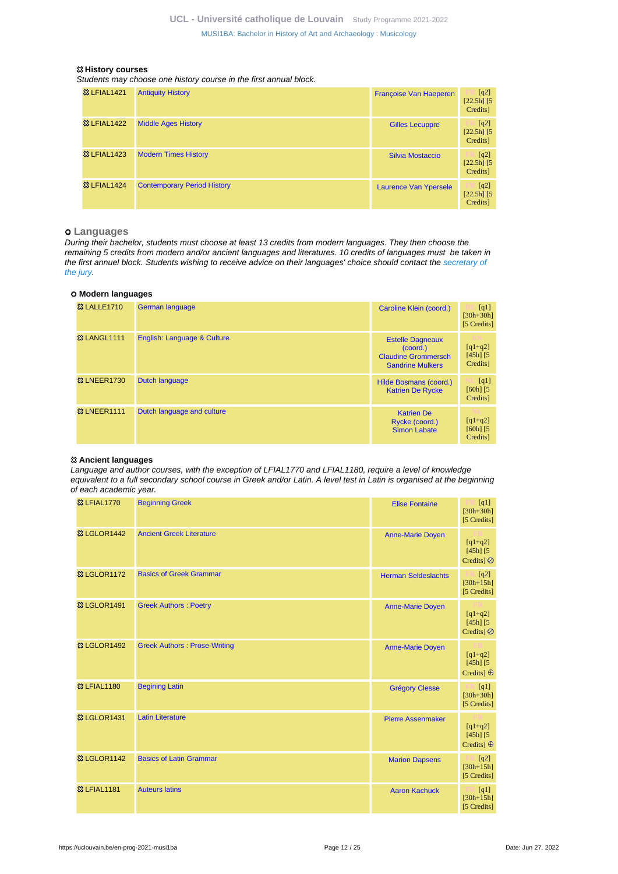#### **History courses**

Students may choose one history course in the first annual block.

| <b>83 LFIAL1421</b>    | <b>Antiquity History</b>           | Francoise Van Haeperen       | [q2]<br>$[22.5h]$ [5]<br>Credits] |
|------------------------|------------------------------------|------------------------------|-----------------------------------|
| <b>&amp; LFIAL1422</b> | <b>Middle Ages History</b>         | <b>Gilles Lecuppre</b>       | [q2]<br>$[22.5h]$ [5]<br>Credits] |
| <b>&amp; LFIAL1423</b> | <b>Modern Times History</b>        | Silvia Mostaccio             | [q2]<br>$[22.5h]$ [5]<br>Credits] |
| <b>&amp; LFIAL1424</b> | <b>Contemporary Period History</b> | <b>Laurence Van Ypersele</b> | [q2]<br>$[22.5h]$ [5]<br>Credits] |

## **Languages**

During their bachelor, students must choose at least 13 credits from modern languages. They then choose the remaining 5 credits from modern and/or ancient languages and literatures. 10 credits of languages must be taken in the first annuel block. Students wishing to receive advice on their languages' choice should contact the [secretary of](https://uclouvain.be/en-prog-musi1ba-contacts) [the jury.](https://uclouvain.be/en-prog-musi1ba-contacts)

#### **Modern languages**

| <b>&amp; LALLE1710</b>  | <b>German language</b>      | Caroline Klein (coord.)                                                                      | [q1]<br>$[30h + 30h]$<br>[5 Credits]   |
|-------------------------|-----------------------------|----------------------------------------------------------------------------------------------|----------------------------------------|
| <b>&amp;3 LANGL1111</b> | English: Language & Culture | <b>Estelle Dagneaux</b><br>(coord.)<br><b>Claudine Grommersch</b><br><b>Sandrine Mulkers</b> | $[q1+q2]$<br>$[45h]$ $[5]$<br>Credits] |
| <b>&amp; LNEER1730</b>  | Dutch language              | Hilde Bosmans (coord.)<br><b>Katrien De Rycke</b>                                            | [q1]<br>$[60h]$ $[5]$<br>Credits]      |
| <b>&amp; LNEER1111</b>  | Dutch language and culture  | <b>Katrien De</b><br>Rycke (coord.)<br><b>Simon Labate</b>                                   | $[q1+q2]$<br>$[60h]$ $[5]$<br>Credits] |

### **Ancient languages**

Language and author courses, with the exception of LFIAL1770 and LFIAL1180, require a level of knowledge equivalent to a full secondary school course in Greek and/or Latin. A level test in Latin is organised at the beginning of each academic year.

| <b>83 LFIAL1770</b>     | <b>Beginning Greek</b>              | <b>Elise Fontaine</b>      | $E_{\kappa}$ [q1]<br>$[30h + 30h]$<br>[5 Credits] |
|-------------------------|-------------------------------------|----------------------------|---------------------------------------------------|
| <b>&amp; LGLOR1442</b>  | <b>Ancient Greek Literature</b>     | <b>Anne-Marie Doyen</b>    | $[q1+q2]$<br>$[45h]$ $[5]$<br>Credits] $\oslash$  |
| <b>&amp; LGLOR1172</b>  | <b>Basics of Greek Grammar</b>      | <b>Herman Seldeslachts</b> | [q2]<br>.<br>$[30h + 15h]$<br>[5 Credits]         |
| <b>83 LGLOR1491</b>     | <b>Greek Authors: Poetry</b>        | <b>Anne-Marie Doven</b>    | $[q1+q2]$<br>$[45h]$ $[5]$<br>Credits] $\oslash$  |
| <b>&amp; LGLOR1492</b>  | <b>Greek Authors: Prose-Writing</b> | <b>Anne-Marie Doyen</b>    | $[q1+q2]$<br>$[45h]$ $[5]$<br>Credits] $\oplus$   |
| <b>83 LFIAL1180</b>     | <b>Begining Latin</b>               | <b>Grégory Clesse</b>      | [q1]<br>$[30h + 30h]$<br>[5 Credits]              |
| <b>&amp; LGLOR1431</b>  | <b>Latin Literature</b>             | <b>Pierre Assenmaker</b>   | $[q1+q2]$<br>$[45h]$ $[5]$<br>Credits] $\oplus$   |
| <b>83 LGLOR1142</b>     | <b>Basics of Latin Grammar</b>      | <b>Marion Dapsens</b>      | [q2]<br>m<br>$[30h + 15h]$<br>[5 Credits]         |
| <b>&amp;3 LFIAL1181</b> | <b>Auteurs latins</b>               | <b>Aaron Kachuck</b>       | [q1]<br>$[30h+15h]$<br>[5 Credits]                |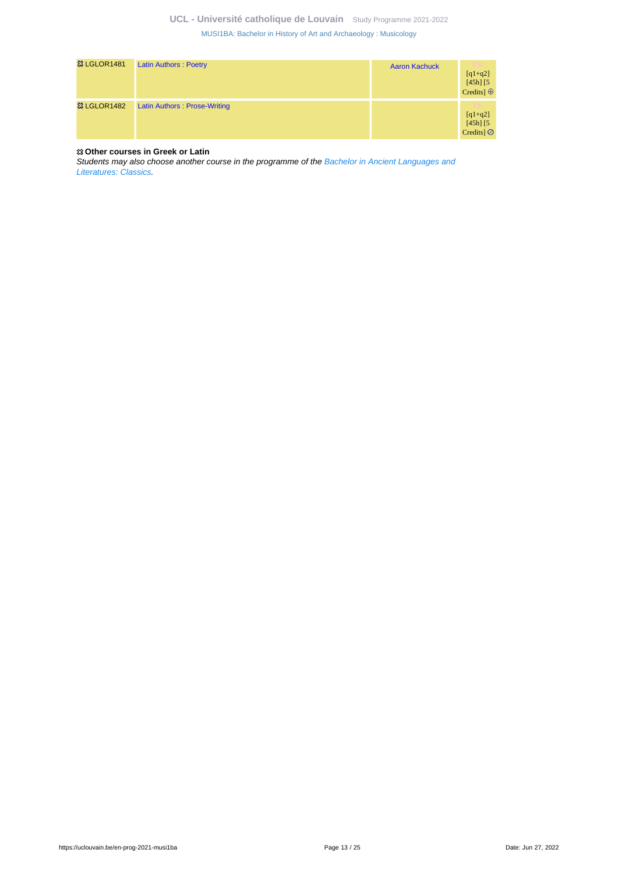| <sup>33</sup> LGLOR1481 | <b>Latin Authors: Poetry</b> | <b>Aaron Kachuck</b> | V.<br>$[q1+q2]$<br>$[45h]$ $[5]$<br>Credits] $\oplus$ |
|-------------------------|------------------------------|----------------------|-------------------------------------------------------|
| <b>&amp; LGLOR1482</b>  | Latin Authors: Prose-Writing |                      | V PR<br>$[q1+q2]$<br>$[45h]$ $[5]$<br>Credits $\odot$ |

### **Other courses in Greek or Latin**

Students may also choose another course in the programme of the [Bachelor in Ancient Languages and](https://uclouvain.be/en-prog-clas1ba-ppm) [Literatures: Classics.](https://uclouvain.be/en-prog-clas1ba-ppm)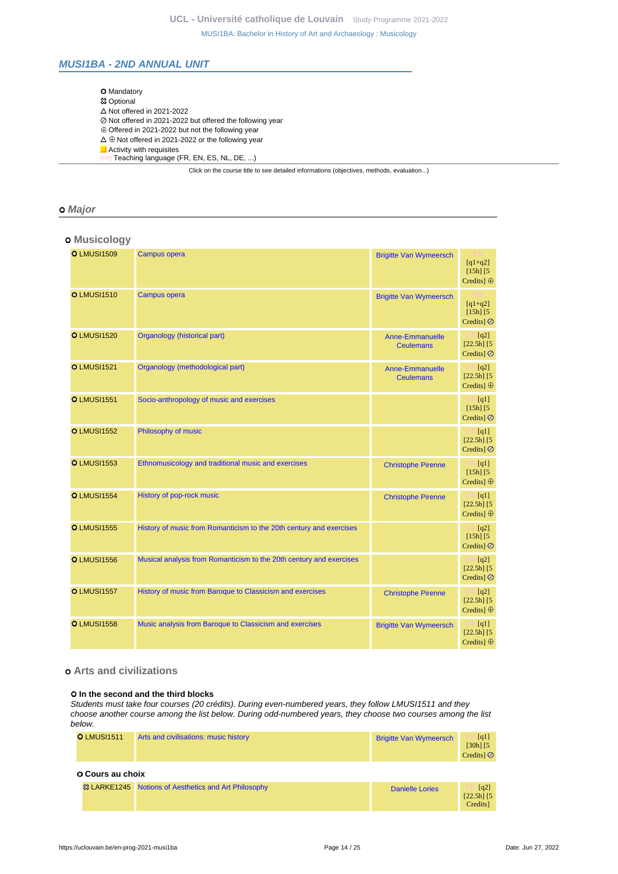## <span id="page-13-0"></span>**MUSI1BA - 2ND ANNUAL UNIT**

| <b>O</b> Mandatory                                                                       |
|------------------------------------------------------------------------------------------|
| <b>惢 Optional</b>                                                                        |
| $\triangle$ Not offered in 2021-2022                                                     |
| ⊘ Not offered in 2021-2022 but offered the following year                                |
| $\oplus$ Offered in 2021-2022 but not the following year                                 |
| $\Delta \oplus$ Not offered in 2021-2022 or the following year                           |
| Activity with requisites                                                                 |
| Teaching language (FR, EN, ES, NL, DE, )                                                 |
| Click on the course title to see detailed informations (objectives, methods, evaluation) |

### **Major**

## **Musicology**

| <b>O</b> LMUSI1509 | <b>Campus opera</b>                                                 | <b>Brigitte Van Wymeersch</b>              | $[q1+q2]$<br>$[15h]$ $[5]$<br>Credits] $\oplus$              |
|--------------------|---------------------------------------------------------------------|--------------------------------------------|--------------------------------------------------------------|
| <b>O</b> LMUSI1510 | Campus opera                                                        | <b>Brigitte Van Wymeersch</b>              | $[q1+q2]$<br>$[15h]$ $[5]$<br>Credits] $\oslash$             |
| <b>O</b> LMUSI1520 | Organology (historical part)                                        | <b>Anne-Emmanuelle</b><br><b>Ceulemans</b> | $\lfloor q^2 \rfloor$<br>$[22.5h]$ [5]<br>Credits] $\oslash$ |
| <b>O</b> LMUSI1521 | Organology (methodological part)                                    | Anne-Emmanuelle<br><b>Ceulemans</b>        | $\Box$ [q2]<br>$[22.5h]$ [5]<br>Credits] $\oplus$            |
| <b>O</b> LMUSI1551 | Socio-anthropology of music and exercises                           |                                            | $\mathbb{E}$ [q1]<br>$[15h]$ [5]<br>Credits] $\oslash$       |
| <b>O</b> LMUSI1552 | Philosophy of music                                                 |                                            | $\mathbb{R}$ [q1]<br>$[22.5h]$ [5]<br>Credits] $\oslash$     |
| <b>O LMUSI1553</b> | Ethnomusicology and traditional music and exercises                 | <b>Christophe Pirenne</b>                  | $\Box$ [q1]<br>$[15h]$ $[5]$<br>Credits] $\oplus$            |
| <b>O</b> LMUSI1554 | History of pop-rock music                                           | <b>Christophe Pirenne</b>                  | $\Box$ [q1]<br>$[22.5h]$ [5]<br>Credits] $\oplus$            |
| <b>O LMUSI1555</b> | History of music from Romanticism to the 20th century and exercises |                                            | $\blacksquare$ [q2]<br>$[15h]$ [5]<br>Credits] $\oslash$     |
| <b>O LMUSI1556</b> | Musical analysis from Romanticism to the 20th century and exercises |                                            | $\mathbb{R}$ [q2]<br>$[22.5h]$ [5]<br>Credits] $\oslash$     |
| <b>O</b> LMUSI1557 | History of music from Baroque to Classicism and exercises           | <b>Christophe Pirenne</b>                  | $\mathbb{R}$ [q2]<br>$[22.5h]$ [5]<br>Credits] $\oplus$      |
| <b>O</b> LMUSI1558 | Music analysis from Baroque to Classicism and exercises             | <b>Brigitte Van Wymeersch</b>              | $\mathbb{H}$ [q1]<br>$[22.5h]$ [5]<br>Credits] $\oplus$      |

## **Arts and civilizations**

#### **In the second and the third blocks**

Students must take four courses (20 crédits). During even-numbered years, they follow LMUSI1511 and they choose another course among the list below. During odd-numbered years, they choose two courses among the list below.

|                         | <b>O</b> LMUSI1511 | Arts and civilisations: music history                            | <b>Brigitte Van Wymeersch</b> | [q1]<br>$[30h]$ $[5]$<br>Credits $\odot$         |
|-------------------------|--------------------|------------------------------------------------------------------|-------------------------------|--------------------------------------------------|
| <b>O Cours au choix</b> |                    |                                                                  |                               |                                                  |
|                         |                    | <sup>23</sup> LARKE1245 Notions of Aesthetics and Art Philosophy | <b>Danielle Lories</b>        | $\lceil q^2 \rceil$<br>$[22.5h]$ [5]<br>Credits] |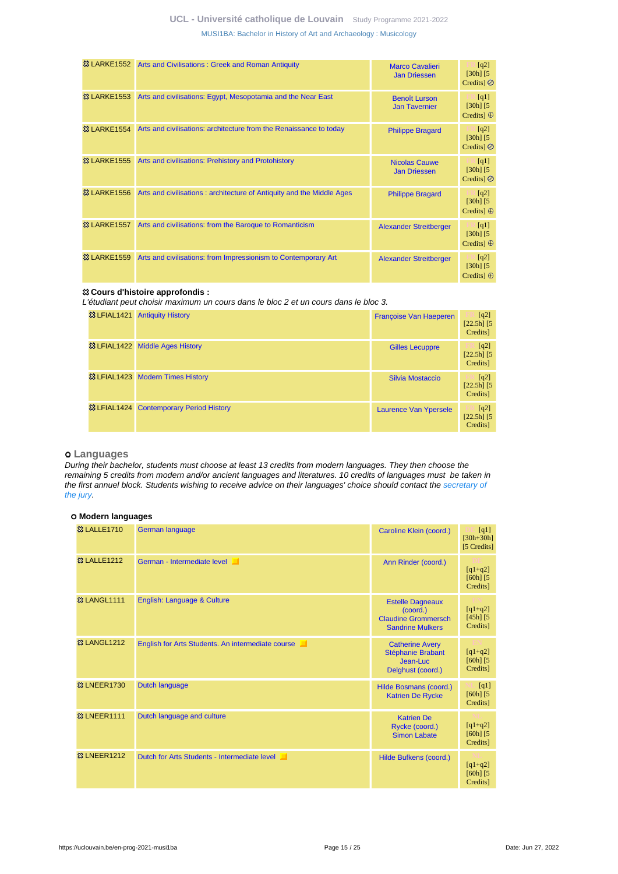| <b>&amp; LARKE1552</b>  | Arts and Civilisations: Greek and Roman Antiquity                     | <b>Marco Cavalieri</b><br><b>Jan Driessen</b> | $\lceil q^2 \rceil$<br>$[30h]$ $[5]$<br>Credits $\odot$   |
|-------------------------|-----------------------------------------------------------------------|-----------------------------------------------|-----------------------------------------------------------|
| <b>&amp; LARKE1553</b>  | Arts and civilisations: Egypt, Mesopotamia and the Near East          | <b>Benoît Lurson</b><br><b>Jan Tavernier</b>  | [q1]<br>$[30h]$ $[5]$<br>Credits] $\oplus$                |
| <b>&amp; LARKE1554</b>  | Arts and civilisations: architecture from the Renaissance to today    | <b>Philippe Bragard</b>                       | $\lfloor q^2 \rfloor$<br>$[30h]$ $[5]$<br>Credits $\odot$ |
| <b>&amp;3 LARKE1555</b> | Arts and civilisations: Prehistory and Protohistory                   | <b>Nicolas Cauwe</b><br><b>Jan Driessen</b>   | $\Box$ [q1]<br>$[30h]$ $[5]$<br>Credits $\odot$           |
| <b>&amp; LARKE1556</b>  | Arts and civilisations: architecture of Antiquity and the Middle Ages | <b>Philippe Bragard</b>                       | $\Box$ [q2]<br>$[30h]$ $[5]$<br>Credits $\oplus$          |
| <b>&amp;3 LARKE1557</b> | Arts and civilisations: from the Baroque to Romanticism               | <b>Alexander Streitberger</b>                 | $\Box$ [q1]<br>$[30h]$ $[5]$<br>Credits $\oplus$          |
| <b>&amp;3 LARKE1559</b> | Arts and civilisations: from Impressionism to Contemporary Art        | <b>Alexander Streitberger</b>                 | $\lceil q^2 \rceil$<br>$[30h]$ $[5]$<br>Credits $\oplus$  |

#### **Cours d'histoire approfondis :**

L'étudiant peut choisir maximum un cours dans le bloc 2 et un cours dans le bloc 3.

| <b>83 LFIAL1421</b> | <b>Antiquity History</b>                           | Françoise Van Haeperen | [q2]<br>$[22.5h]$ [5]<br>Credits] |
|---------------------|----------------------------------------------------|------------------------|-----------------------------------|
|                     | <sup>33</sup> LFIAL1422 Middle Ages History        | <b>Gilles Lecuppre</b> | [q2]<br>$[22.5h]$ [5]<br>Credits] |
|                     | <b>&amp; LFIAL1423</b> Modern Times History        | Silvia Mostaccio       | [q2]<br>$[22.5h]$ [5]<br>Credits] |
|                     | <b>&amp; LFIAL1424 Contemporary Period History</b> | Laurence Van Ypersele  | [q2]<br>$[22.5h]$ [5]<br>Credits] |

### **Languages**

During their bachelor, students must choose at least 13 credits from modern languages. They then choose the remaining 5 credits from modern and/or ancient languages and literatures. 10 credits of languages must be taken in the first annuel block. Students wishing to receive advice on their languages' choice should contact the [secretary of](https://uclouvain.be/en-prog-musi1ba-contacts) [the jury.](https://uclouvain.be/en-prog-musi1ba-contacts)

### **Modern languages**

| <b>83 LALLE1710</b>     | German language                                   | Caroline Klein (coord.)                                                                      | $\lceil q_1 \rceil$<br>$[30h + 30h]$<br>[5 Credits] |
|-------------------------|---------------------------------------------------|----------------------------------------------------------------------------------------------|-----------------------------------------------------|
| <b>&amp;3 LALLE1212</b> | German - Intermediate level                       | Ann Rinder (coord.)                                                                          | $[q1+q2]$<br>$[60h]$ $[5$<br>Credits]               |
| <b>&amp;3 LANGL1111</b> | <b>English: Language &amp; Culture</b>            | <b>Estelle Dagneaux</b><br>(coord.)<br><b>Claudine Grommersch</b><br><b>Sandrine Mulkers</b> | $[q1+q2]$<br>$[45h]$ $[5]$<br>Credits]              |
| <b>&amp; LANGL1212</b>  | English for Arts Students. An intermediate course | <b>Catherine Avery</b><br>Stéphanie Brabant<br>Jean-Luc<br>Delghust (coord.)                 | $[q1+q2]$<br>$[60h]$ $[5]$<br>Credits]              |
| <b>&amp; LNEER1730</b>  | Dutch language                                    | Hilde Bosmans (coord.)<br><b>Katrien De Rycke</b>                                            | [q1]<br>$[60h]$ $[5$<br>Credits]                    |
| <b>&amp; LNEER1111</b>  | Dutch language and culture                        | <b>Katrien De</b><br>Rycke (coord.)<br><b>Simon Labate</b>                                   | $[q1+q2]$<br>$[60h]$ $[5$<br>Credits]               |
| <b>&amp;3 LNEER1212</b> | Dutch for Arts Students - Intermediate level      | Hilde Bufkens (coord.)                                                                       | $[q1+q2]$<br>$[60h]$ $[5]$<br>Credits]              |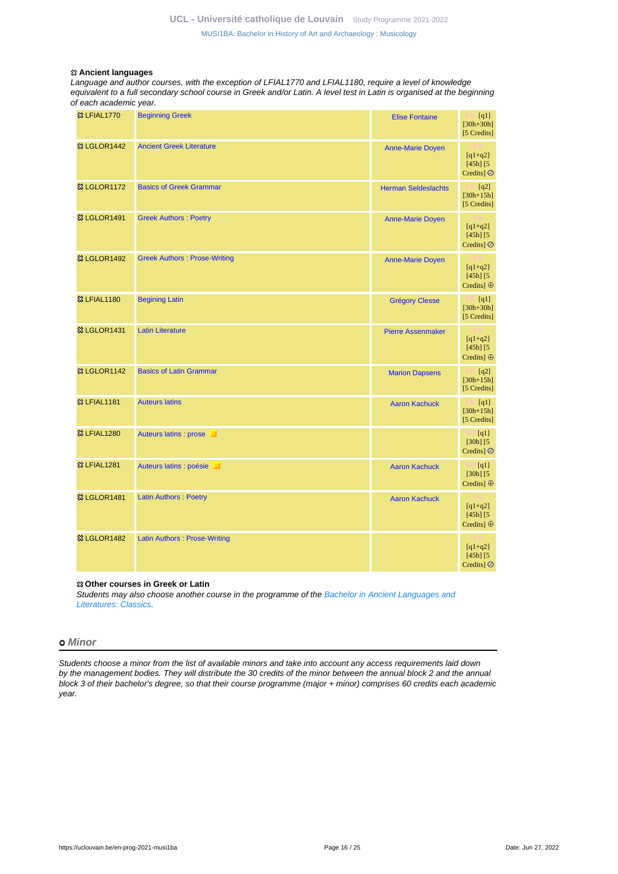#### **Ancient languages**

Language and author courses, with the exception of LFIAL1770 and LFIAL1180, require a level of knowledge equivalent to a full secondary school course in Greek and/or Latin. A level test in Latin is organised at the beginning of each academic year.

| <b>&amp;3 LFIAL1770</b> | <b>Beginning Greek</b>              | <b>Elise Fontaine</b>      | [q1]<br>$[30h+30h]$<br>[5 Credits]                |
|-------------------------|-------------------------------------|----------------------------|---------------------------------------------------|
| <b>惢 LGLOR1442</b>      | <b>Ancient Greek Literature</b>     | <b>Anne-Marie Doyen</b>    | $[q1+q2]$<br>$[45h]$ $[5]$<br>Credits] $\oslash$  |
| <b>83 LGLOR1172</b>     | <b>Basics of Greek Grammar</b>      | <b>Herman Seldeslachts</b> | $\mathbb{H}$ [q2]<br>$[30h+15h]$<br>[5 Credits]   |
| <b>&amp; LGLOR1491</b>  | <b>Greek Authors: Poetry</b>        | <b>Anne-Marie Doyen</b>    | $[q1+q2]$<br>$[45h]$ $[5]$<br>Credits] $\oslash$  |
| <b>&amp; LGLOR1492</b>  | <b>Greek Authors: Prose-Writing</b> | <b>Anne-Marie Doyen</b>    | $[q1+q2]$<br>$[45h]$ $[5]$<br>Credits] $\oplus$   |
| <b>83 LFIAL1180</b>     | <b>Begining Latin</b>               | <b>Grégory Clesse</b>      | $\Box$ [q1]<br>$[30h+30h]$<br>[5 Credits]         |
| <sup>33</sup> LGLOR1431 | <b>Latin Literature</b>             | <b>Pierre Assenmaker</b>   | $[q1+q2]$<br>$[45h]$ $[5]$<br>Credits] $\oplus$   |
| <b>&amp; LGLOR1142</b>  | <b>Basics of Latin Grammar</b>      | <b>Marion Dapsens</b>      | [q2]<br>$[30h+15h]$<br>[5 Credits]                |
| <b>83 LFIAL1181</b>     | <b>Auteurs latins</b>               | <b>Aaron Kachuck</b>       | $\lceil q_1 \rceil$<br>$[30h+15h]$<br>[5 Credits] |
| <b>83 LFIAL1280</b>     | Auteurs latins : prose              |                            | [q1]<br>$[30h]$ $[5]$<br>Credits] $\oslash$       |
| <b>&amp;3 LFIAL1281</b> | Auteurs latins : poésie             | <b>Aaron Kachuck</b>       | $\Box$ [q1]<br>$[30h]$ $[5]$<br>Credits] ⊕        |
| <sup>33</sup> LGLOR1481 | <b>Latin Authors: Poetry</b>        | <b>Aaron Kachuck</b>       | $[q1+q2]$<br>$[45h]$ $[5]$<br>Credits] $\oplus$   |
| 33 LGLOR1482            | <b>Latin Authors: Prose-Writing</b> |                            | $[q1+q2]$<br>$[45h]$ $[5]$<br>Credits] $\oslash$  |

#### **Other courses in Greek or Latin**

Students may also choose another course in the programme of the [Bachelor in Ancient Languages and](https://uclouvain.be/en-prog-clas1ba-ppm) [Literatures: Classics.](https://uclouvain.be/en-prog-clas1ba-ppm)

### **Minor**

Students choose a minor from the list of available minors and take into account any access requirements laid down by the management bodies. They will distribute the 30 credits of the minor between the annual block 2 and the annual block 3 of their bachelor's degree, so that their course programme (major + minor) comprises 60 credits each academic year.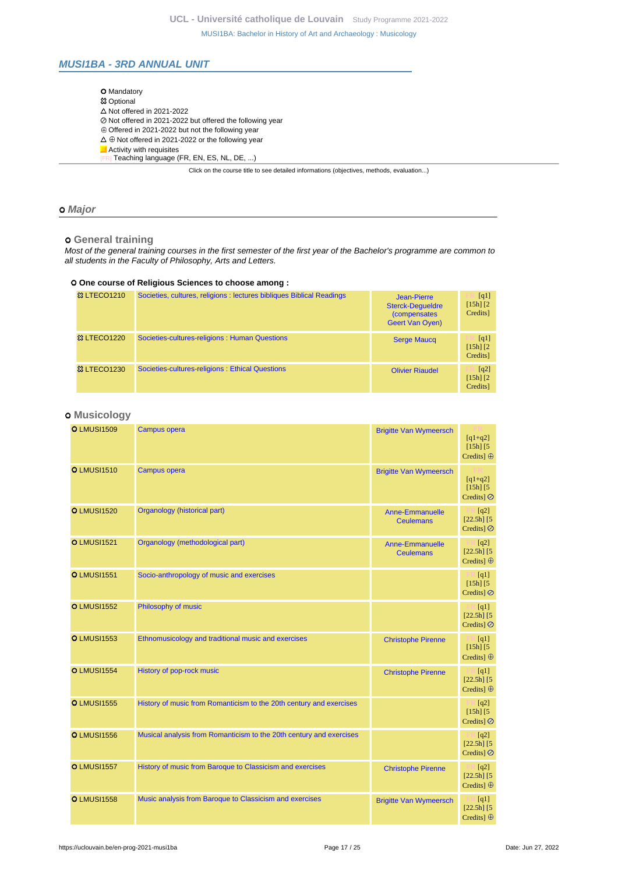## <span id="page-16-0"></span>**MUSI1BA - 3RD ANNUAL UNIT**

| <b>O</b> Mandatory                                                                       |
|------------------------------------------------------------------------------------------|
| <b>83 Optional</b>                                                                       |
| $\triangle$ Not offered in 2021-2022                                                     |
| ⊘ Not offered in 2021-2022 but offered the following year                                |
| $\oplus$ Offered in 2021-2022 but not the following year                                 |
| $\Delta \oplus$ Not offered in 2021-2022 or the following year                           |
| Activity with requisites                                                                 |
| Teaching language (FR, EN, ES, NL, DE, )                                                 |
| Click on the course title to see detailed informations (objectives, methods, evaluation) |

### **Major**

## **General training**

Most of the general training courses in the first semester of the first year of the Bachelor's programme are common to all students in the Faculty of Philosophy, Arts and Letters.

### **One course of Religious Sciences to choose among :**

| <b>&amp; LTECO1210</b> | Societies, cultures, religions : lectures bibliques Biblical Readings | Jean-Pierre<br><b>Sterck-Dequeldre</b><br>(compensates<br><b>Geert Van Oyen)</b> | [q1]<br>$[15h]$ $[2]$<br>Credits]                |
|------------------------|-----------------------------------------------------------------------|----------------------------------------------------------------------------------|--------------------------------------------------|
| <b>&amp; LTECO1220</b> | Societies-cultures-religions: Human Questions                         | <b>Serge Maucq</b>                                                               | $\lceil q_1 \rceil$<br>$[15h]$ $[2]$<br>Credits] |
| <b>&amp; LTECO1230</b> | Societies-cultures-religions : Ethical Questions                      | <b>Olivier Riaudel</b>                                                           | [q2]<br>$[15h]$ $[2]$<br>Credits]                |

## **Musicology**

| <b>O</b> LMUSI1509 | <b>Campus opera</b>                                                 | <b>Brigitte Van Wymeersch</b>              | $[q1+q2]$<br>$[15h]$ [5]<br>Credits] $\oplus$                       |
|--------------------|---------------------------------------------------------------------|--------------------------------------------|---------------------------------------------------------------------|
| <b>O</b> LMUSI1510 | <b>Campus opera</b>                                                 | <b>Brigitte Van Wymeersch</b>              | $[q1+q2]$<br>$[15h]$ $[5]$<br>Credits] $\oslash$                    |
| <b>O LMUSI1520</b> | Organology (historical part)                                        | <b>Anne-Emmanuelle</b><br><b>Ceulemans</b> | $\mathbb{H}$ [q2]<br>$[22.5h]$ [5]<br>Credits] $\oslash$            |
| <b>O</b> LMUSI1521 | Organology (methodological part)                                    | <b>Anne-Emmanuelle</b><br><b>Ceulemans</b> | $\mathbb{R}$ [q2]<br>$[22.5h]$ [5]<br>Credits] $\oplus$             |
| <b>O</b> LMUSI1551 | Socio-anthropology of music and exercises                           |                                            | $\Box$ [q1]<br>$[15h]$ $[5]$<br>Credits] $\oslash$                  |
| <b>O</b> LMUSI1552 | Philosophy of music                                                 |                                            | $\mathbb{F} \mathbb{R}$ [q1]<br>$[22.5h]$ [5]<br>Credits] $\oslash$ |
| <b>O</b> LMUSI1553 | Ethnomusicology and traditional music and exercises                 | <b>Christophe Pirenne</b>                  | $F \mathbb{R}$ [q1]<br>$[15h]$ $[5]$<br>Credits] $\oplus$           |
| <b>O</b> LMUSI1554 | History of pop-rock music                                           | <b>Christophe Pirenne</b>                  | $E[4]$ [q1]<br>$[22.5h]$ [5]<br>Credits] ⊕                          |
| <b>O</b> LMUSI1555 | History of music from Romanticism to the 20th century and exercises |                                            | $\mathbb{E}$ [q2]<br>$[15h]$ [5]<br>Credits] $\oslash$              |
| <b>O</b> LMUSI1556 | Musical analysis from Romanticism to the 20th century and exercises |                                            | $\mathbb{H}$ [q2]<br>$[22.5h]$ [5]<br>Credits] $\oslash$            |
| <b>O</b> LMUSI1557 | History of music from Baroque to Classicism and exercises           | <b>Christophe Pirenne</b>                  | $\mathbb{R}$ [q2]<br>$[22.5h]$ [5]<br>Credits] $\oplus$             |
| <b>O</b> LMUSI1558 | Music analysis from Baroque to Classicism and exercises             | <b>Brigitte Van Wymeersch</b>              | $\mathbb{F} \mathbb{R} [q1]$<br>$[22.5h]$ [5]<br>Credits] $\oplus$  |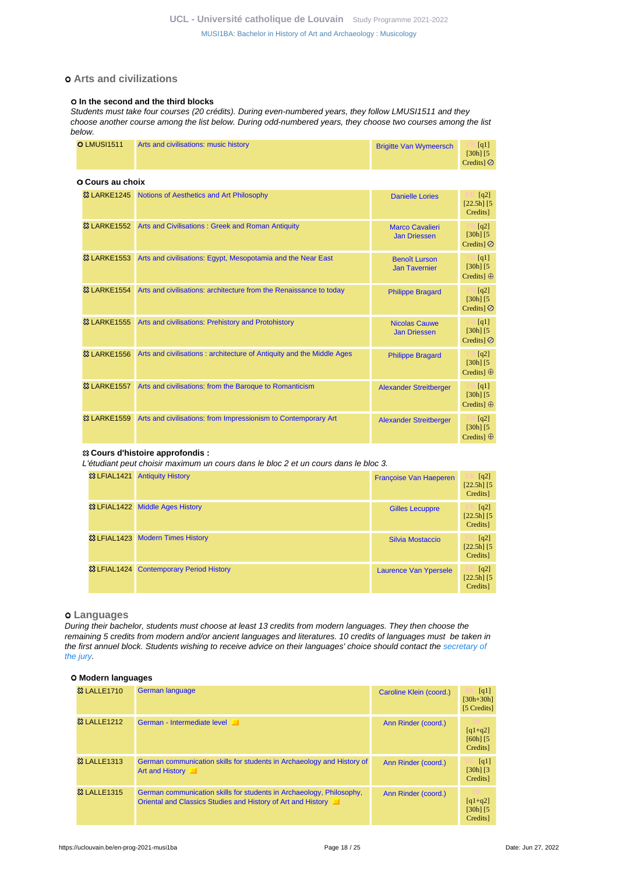# **Arts and civilizations**

#### $O$  **In the second and the third blocks**

Students must take four courses (20 crédits). During even-numbered years, they follow LMUSI1511 and they choose another course among the list below. During odd-numbered years, they choose two courses among the list below.

|  | <b>O</b> LMUSI1511<br>Arts and civilisations: music history<br><b>Brigitte Van Wymeersch</b> | [q1]<br>[30h] [5]<br>Credits $\circ$ |
|--|----------------------------------------------------------------------------------------------|--------------------------------------|
|--|----------------------------------------------------------------------------------------------|--------------------------------------|

| O Cours au choix       |                                                                       |                                               |                                                                   |
|------------------------|-----------------------------------------------------------------------|-----------------------------------------------|-------------------------------------------------------------------|
|                        | & LARKE1245 Notions of Aesthetics and Art Philosophy                  | <b>Danielle Lories</b>                        | [q2]<br>$[22.5h]$ [5<br>Credits]                                  |
|                        | & LARKE1552 Arts and Civilisations: Greek and Roman Antiquity         | <b>Marco Cavalieri</b><br><b>Jan Driessen</b> | [q2]<br>$[30h]$ $[5]$<br>Credits] $\oslash$                       |
| <b>&amp; LARKE1553</b> | Arts and civilisations: Egypt, Mesopotamia and the Near East          | <b>Benoît Lurson</b><br><b>Jan Tavernier</b>  | [q1]<br>$[30h]$ [5]<br>Credits] $\oplus$                          |
| <b>&amp; LARKE1554</b> | Arts and civilisations: architecture from the Renaissance to today    | <b>Philippe Bragard</b>                       | $\Box$ [q2]<br>$[30h]$ [5]<br>Credits] $\oslash$                  |
| <b>&amp; LARKE1555</b> | Arts and civilisations: Prehistory and Protohistory                   | <b>Nicolas Cauwe</b><br><b>Jan Driessen</b>   | $\llbracket q1 \rrbracket$<br>$[30h]$ $[5]$<br>Credits] $\oslash$ |
| <b>&amp; LARKE1556</b> | Arts and civilisations: architecture of Antiquity and the Middle Ages | <b>Philippe Bragard</b>                       | $\lfloor q^2 \rfloor$<br>$[30h]$ [5]<br>Credits] $\oplus$         |
| <b>&amp; LARKE1557</b> | Arts and civilisations: from the Baroque to Romanticism               | <b>Alexander Streitberger</b>                 | $\mathbb{E}$ [q1]<br>$[30h]$ [5]<br>Credits] $\oplus$             |
| <b>&amp; LARKE1559</b> | Arts and civilisations: from Impressionism to Contemporary Art        | <b>Alexander Streitberger</b>                 | $\lfloor q^2 \rfloor$<br>$[30h]$ $[5]$<br>Credits] $\oplus$       |

## **Cours d'histoire approfondis :**

L'étudiant peut choisir maximum un cours dans le bloc 2 et un cours dans le bloc 3.

| <sup>33</sup> LFIAL1421 Antiquity History          | Francoise Van Haeperen       | [q2]<br>$[22.5h]$ [5]<br>Credits] |
|----------------------------------------------------|------------------------------|-----------------------------------|
| <b>&amp; LFIAL1422</b> Middle Ages History         | <b>Gilles Lecuppre</b>       | [q2]<br>$[22.5h]$ [5]<br>Credits] |
| <b>&amp; LFIAL1423 Modern Times History</b>        | Silvia Mostaccio             | [q2]<br>$[22.5h]$ [5]<br>Credits] |
| <b>&amp; LFIAL1424 Contemporary Period History</b> | <b>Laurence Van Ypersele</b> | [q2]<br>$[22.5h]$ [5]<br>Credits] |

### **Languages**

During their bachelor, students must choose at least 13 credits from modern languages. They then choose the remaining 5 credits from modern and/or ancient languages and literatures. 10 credits of languages must be taken in the first annuel block. Students wishing to receive advice on their languages' choice should contact the [secretary of](https://uclouvain.be/en-prog-musi1ba-contacts) [the jury.](https://uclouvain.be/en-prog-musi1ba-contacts)

#### **Modern languages**

| <b>&amp;3 LALLE1710</b> | German language                                                                                                                      | Caroline Klein (coord.) | $\lceil q_1 \rceil$<br>$[30h + 30h]$<br>[5 Credits] |
|-------------------------|--------------------------------------------------------------------------------------------------------------------------------------|-------------------------|-----------------------------------------------------|
| <b>83 LALLE1212</b>     | German - Intermediate level                                                                                                          | Ann Rinder (coord.)     | m<br>$[q1+q2]$<br>$[60h]$ $[5]$<br>Credits]         |
| <b>&amp;3 LALLE1313</b> | German communication skills for students in Archaeology and History of<br>Art and History                                            | Ann Rinder (coord.)     | [q1]<br>$[30h]$ $[3]$<br>Credits]                   |
| <b>&amp;3 LALLE1315</b> | German communication skills for students in Archaeology, Philosophy,<br>Oriental and Classics Studies and History of Art and History | Ann Rinder (coord.)     | m<br>$[q1+q2]$<br>$[30h]$ $[5]$<br>Credits]         |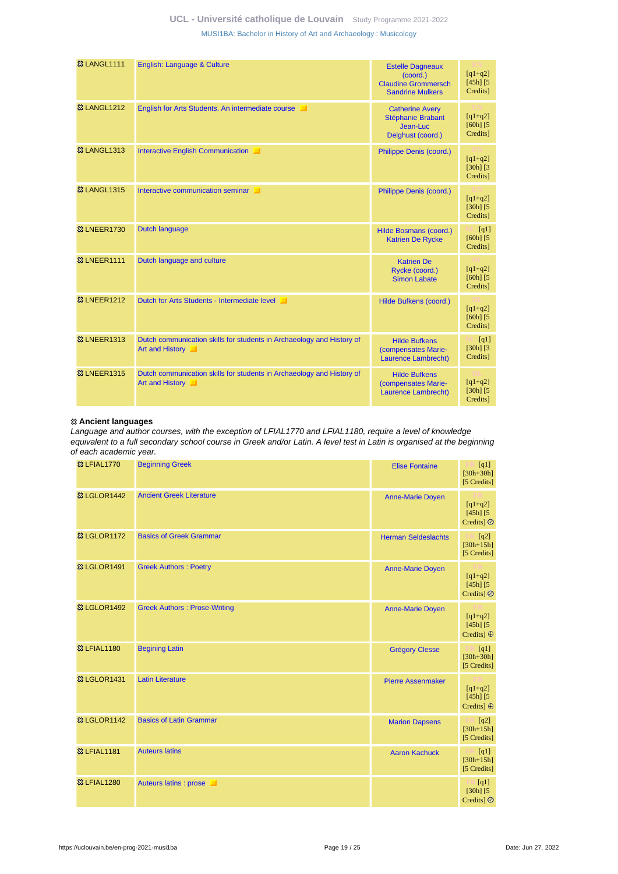| <b>&amp;3 LANGL1111</b> | English: Language & Culture                                                              | <b>Estelle Dagneaux</b><br>(coord.)<br><b>Claudine Grommersch</b><br><b>Sandrine Mulkers</b> | $[q1+q2]$<br>$[45h]$ $[5]$<br>Credits] |
|-------------------------|------------------------------------------------------------------------------------------|----------------------------------------------------------------------------------------------|----------------------------------------|
| <b>&amp;3 LANGL1212</b> | English for Arts Students. An intermediate course                                        | <b>Catherine Avery</b><br>Stéphanie Brabant<br>Jean-Luc<br>Delghust (coord.)                 | $[q1+q2]$<br>$[60h]$ $[5]$<br>Credits] |
| <b>&amp; LANGL1313</b>  | Interactive English Communication                                                        | Philippe Denis (coord.)                                                                      | $[q1+q2]$<br>$[30h]$ $[3]$<br>Credits] |
| <b>&amp;3 LANGL1315</b> | Interactive communication seminar                                                        | Philippe Denis (coord.)                                                                      | $[q1+q2]$<br>$[30h]$ $[5]$<br>Credits] |
| <b>&amp;3 LNEER1730</b> | <b>Dutch language</b>                                                                    | Hilde Bosmans (coord.)<br><b>Katrien De Rycke</b>                                            | [q1]<br>$[60h]$ $[5]$<br>Credits]      |
| <b>&amp; LNEER1111</b>  | Dutch language and culture                                                               | <b>Katrien De</b><br>Rycke (coord.)<br><b>Simon Labate</b>                                   | $[q1+q2]$<br>$[60h]$ $[5]$<br>Credits] |
| <b>&amp; LNEER1212</b>  | Dutch for Arts Students - Intermediate level                                             | Hilde Bufkens (coord.)                                                                       | $[q1+q2]$<br>$[60h]$ $[5]$<br>Credits] |
| <b>&amp;3 LNEER1313</b> | Dutch communication skills for students in Archaeology and History of<br>Art and History | <b>Hilde Bufkens</b><br>(compensates Marie-<br>Laurence Lambrecht)                           | [q1]<br>$[30h]$ $[3]$<br>Credits]      |
| <b>&amp; LNEER1315</b>  | Dutch communication skills for students in Archaeology and History of<br>Art and History | <b>Hilde Bufkens</b><br>(compensates Marie-<br>Laurence Lambrecht)                           | $[q1+q2]$<br>$[30h]$ $[5]$<br>Credits] |

#### **Ancient languages**

Language and author courses, with the exception of LFIAL1770 and LFIAL1180, require a level of knowledge equivalent to a full secondary school course in Greek and/or Latin. A level test in Latin is organised at the beginning of each academic year.

| <b>83 LFIAL1770</b>     | <b>Beginning Greek</b>              | <b>Elise Fontaine</b>      | [q1]<br>- 11<br>$[30h + 30h]$<br>[5 Credits]     |
|-------------------------|-------------------------------------|----------------------------|--------------------------------------------------|
| <b>&amp;3 LGLOR1442</b> | <b>Ancient Greek Literature</b>     | <b>Anne-Marie Doyen</b>    | $[q1+q2]$<br>$[45h]$ $[5]$<br>Credits] $\oslash$ |
| <b>&amp; LGLOR1172</b>  | <b>Basics of Greek Grammar</b>      | <b>Herman Seldeslachts</b> | $\Box$ [q2]<br>$[30h + 15h]$<br>[5 Credits]      |
| <b>&amp; LGLOR1491</b>  | <b>Greek Authors: Poetry</b>        | <b>Anne-Marie Doyen</b>    | $[q1+q2]$<br>$[45h]$ $[5]$<br>Credits] Ø         |
| <b>&amp;3 LGLOR1492</b> | <b>Greek Authors: Prose-Writing</b> | <b>Anne-Marie Doyen</b>    | $[q1+q2]$<br>$[45h]$ $[5]$<br>Credits] ⊕         |
| <b>83 LFIAL1180</b>     | <b>Begining Latin</b>               | <b>Grégory Clesse</b>      | [q1]<br>$[30h + 30h]$<br>[5 Credits]             |
| <b>&amp; LGLOR1431</b>  | <b>Latin Literature</b>             | <b>Pierre Assenmaker</b>   | $[q1+q2]$<br>$[45h]$ $[5]$<br>Credits] $\oplus$  |
| <b>&amp;3 LGLOR1142</b> | <b>Basics of Latin Grammar</b>      | <b>Marion Dapsens</b>      | [q2]<br>$[30h+15h]$<br>[5 Credits]               |
| <b>83 LFIAL1181</b>     | <b>Auteurs latins</b>               | <b>Aaron Kachuck</b>       | [q1]<br>$[30h+15h]$<br>[5 Credits]               |
| <b>83 LFIAL1280</b>     | Auteurs latins : prose              |                            | [q1]<br>m<br>$[30h]$ $[5]$<br>Credits] $\oslash$ |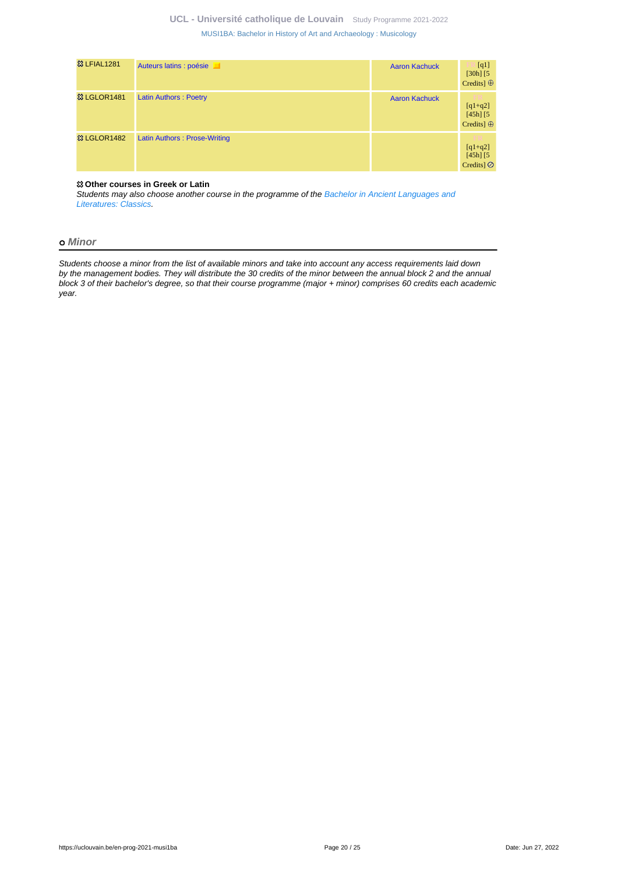| <b>&amp;3 LFIAL1281</b> | Auteurs latins : poésie      | <b>Aaron Kachuck</b> | [q1]<br>$[30h]$ $[5]$<br>Credits] $\oplus$           |
|-------------------------|------------------------------|----------------------|------------------------------------------------------|
| <b>83 LGLOR1481</b>     | <b>Latin Authors: Poetry</b> | <b>Aaron Kachuck</b> | m<br>$[q1+q2]$<br>$[45h]$ $[5]$<br>Credits] $\oplus$ |
| <b>&amp; LGLOR1482</b>  | Latin Authors: Prose-Writing |                      | m<br>$[q1+q2]$<br>$[45h]$ $[5]$<br>Credits $\odot$   |

#### **Other courses in Greek or Latin**

Students may also choose another course in the programme of the [Bachelor in Ancient Languages and](https://uclouvain.be/en-prog-clas1ba-ppm) [Literatures: Classics.](https://uclouvain.be/en-prog-clas1ba-ppm)

#### **Minor**

Students choose a minor from the list of available minors and take into account any access requirements laid down by the management bodies. They will distribute the 30 credits of the minor between the annual block 2 and the annual block 3 of their bachelor's degree, so that their course programme (major + minor) comprises 60 credits each academic year.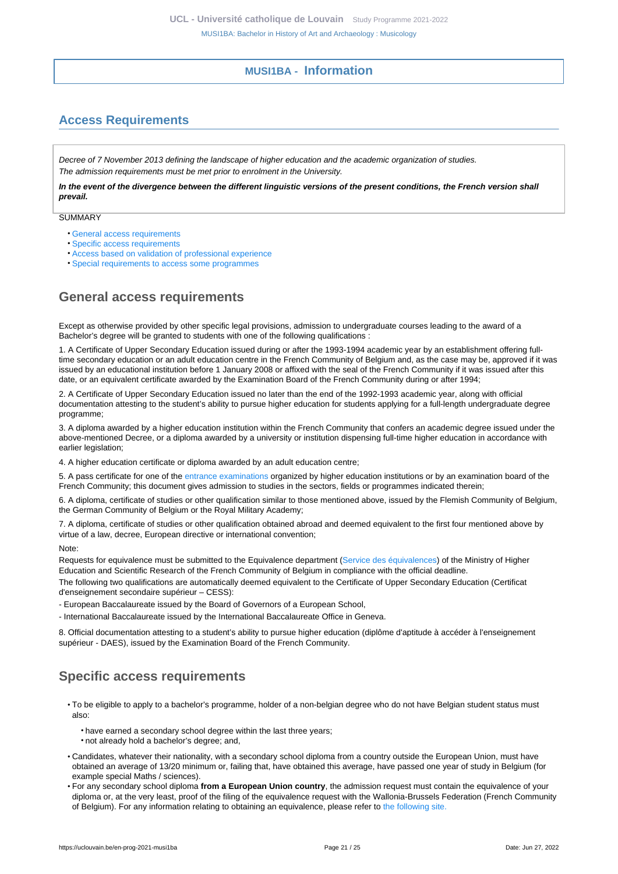# **MUSI1BA - Information**

# <span id="page-20-1"></span><span id="page-20-0"></span>**Access Requirements**

Decree of 7 November 2013 defining the landscape of higher education and the academic organization of studies. The admission requirements must be met prior to enrolment in the University.

**In the event of the divergence between the different linguistic versions of the present conditions, the French version shall prevail.**

**SUMMARY** 

- [General access requirements](#page-20-2)
- [Specific access requirements](#page-20-3)
- [Access based on validation of professional experience](#page-21-0)
- [Special requirements to access some programmes](#page-21-1)

# <span id="page-20-2"></span>**General access requirements**

Except as otherwise provided by other specific legal provisions, admission to undergraduate courses leading to the award of a Bachelor's degree will be granted to students with one of the following qualifications :

1. A Certificate of Upper Secondary Education issued during or after the 1993-1994 academic year by an establishment offering fulltime secondary education or an adult education centre in the French Community of Belgium and, as the case may be, approved if it was issued by an educational institution before 1 January 2008 or affixed with the seal of the French Community if it was issued after this date, or an equivalent certificate awarded by the Examination Board of the French Community during or after 1994;

2. A Certificate of Upper Secondary Education issued no later than the end of the 1992-1993 academic year, along with official documentation attesting to the student's ability to pursue higher education for students applying for a full-length undergraduate degree programme;

3. A diploma awarded by a higher education institution within the French Community that confers an academic degree issued under the above-mentioned Decree, or a diploma awarded by a university or institution dispensing full-time higher education in accordance with earlier legislation;

4. A higher education certificate or diploma awarded by an adult education centre;

5. A pass certificate for one of the [entrance examinations](https://uclouvain.be/fr/etudier/inscriptions/examens-admission.html) organized by higher education institutions or by an examination board of the French Community; this document gives admission to studies in the sectors, fields or programmes indicated therein;

6. A diploma, certificate of studies or other qualification similar to those mentioned above, issued by the Flemish Community of Belgium, the German Community of Belgium or the Royal Military Academy;

7. A diploma, certificate of studies or other qualification obtained abroad and deemed equivalent to the first four mentioned above by virtue of a law, decree, European directive or international convention;

Note:

Requests for equivalence must be submitted to the Equivalence department [\(Service des équivalences\)](http://www.equivalences.cfwb.be/) of the Ministry of Higher Education and Scientific Research of the French Community of Belgium in compliance with the official deadline.

The following two qualifications are automatically deemed equivalent to the Certificate of Upper Secondary Education (Certificat d'enseignement secondaire supérieur – CESS):

- European Baccalaureate issued by the Board of Governors of a European School,

- International Baccalaureate issued by the International Baccalaureate Office in Geneva.

8. Official documentation attesting to a student's ability to pursue higher education (diplôme d'aptitude à accéder à l'enseignement supérieur - DAES), issued by the Examination Board of the French Community.

# <span id="page-20-3"></span>**Specific access requirements**

- To be eligible to apply to a bachelor's programme, holder of a non-belgian degree who do not have Belgian student status must also:
	- have earned a secondary school degree within the last three years;
	- not already hold a bachelor's degree; and,
- Candidates, whatever their nationality, with a secondary school diploma from a country outside the European Union, must have obtained an average of 13/20 minimum or, failing that, have obtained this average, have passed one year of study in Belgium (for example special Maths / sciences).
- For any secondary school diploma **from a European Union country**, the admission request must contain the equivalence of your diploma or, at the very least, proof of the filing of the equivalence request with the Wallonia-Brussels Federation (French Community of Belgium). For any information relating to obtaining an equivalence, please refer to [the following site.](http://www.equivalences.cfwb.be/)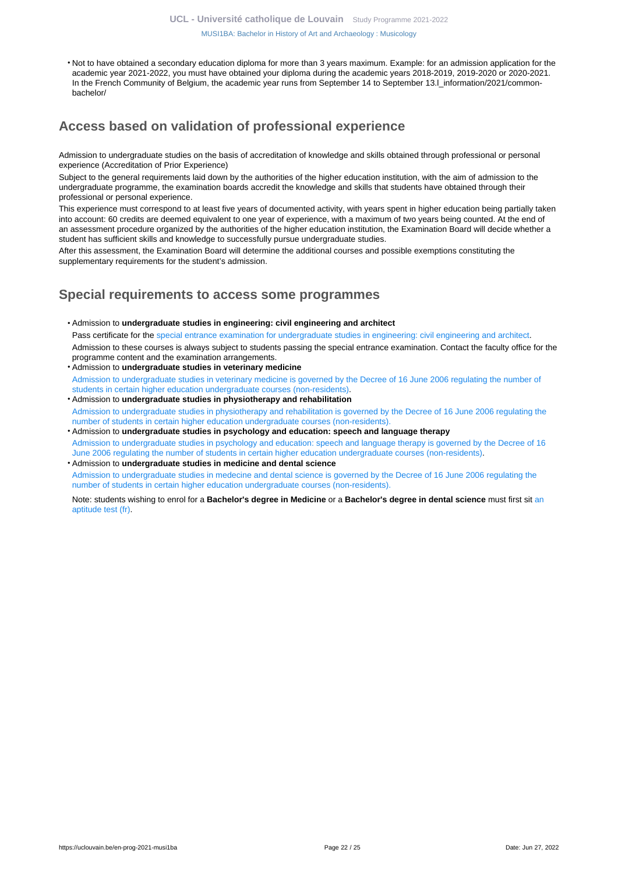[MUSI1BA: Bachelor in History of Art and Archaeology : Musicology](https://uclouvain.be/en-prog-2021-musi1ba.html)

• Not to have obtained a secondary education diploma for more than 3 years maximum. Example: for an admission application for the academic year 2021-2022, you must have obtained your diploma during the academic years 2018-2019, 2019-2020 or 2020-2021. In the French Community of Belgium, the academic year runs from September 14 to September 13.I\_information/2021/commonbachelor/

# <span id="page-21-0"></span>**Access based on validation of professional experience**

Admission to undergraduate studies on the basis of accreditation of knowledge and skills obtained through professional or personal experience (Accreditation of Prior Experience)

Subject to the general requirements laid down by the authorities of the higher education institution, with the aim of admission to the undergraduate programme, the examination boards accredit the knowledge and skills that students have obtained through their professional or personal experience.

This experience must correspond to at least five years of documented activity, with years spent in higher education being partially taken into account: 60 credits are deemed equivalent to one year of experience, with a maximum of two years being counted. At the end of an assessment procedure organized by the authorities of the higher education institution, the Examination Board will decide whether a student has sufficient skills and knowledge to successfully pursue undergraduate studies.

After this assessment, the Examination Board will determine the additional courses and possible exemptions constituting the supplementary requirements for the student's admission.

# <span id="page-21-1"></span>**Special requirements to access some programmes**

- Admission to **undergraduate studies in engineering: civil engineering and architect** Pass certificate for the [special entrance examination for undergraduate studies in engineering: civil engineering and architect](https://uclouvain.be/fr/facultes/epl/examenadmission.html). Admission to these courses is always subject to students passing the special entrance examination. Contact the faculty office for the programme content and the examination arrangements.
- Admission to **undergraduate studies in veterinary medicine**  [Admission to undergraduate studies in veterinary medicine is governed by the Decree of 16 June 2006 regulating the number of](https://uclouvain.be/en/study/inscriptions/etudes-contingentees.html) [students in certain higher education undergraduate courses \(non-residents\)](https://uclouvain.be/en/study/inscriptions/etudes-contingentees.html).
- Admission to **undergraduate studies in physiotherapy and rehabilitation** [Admission to undergraduate studies in physiotherapy and rehabilitation is governed by the Decree of 16 June 2006 regulating the](https://uclouvain.be/en/study/inscriptions/etudes-contingentees.html) [number of students in certain higher education undergraduate courses \(non-residents\).](https://uclouvain.be/en/study/inscriptions/etudes-contingentees.html)
- Admission to **undergraduate studies in psychology and education: speech and language therapy** [Admission to undergraduate studies in psychology and education: speech and language therapy is governed by the Decree of 16](https://uclouvain.be/en/study/inscriptions/etudes-contingentees.html) [June 2006 regulating the number of students in certain higher education undergraduate courses \(non-residents\).](https://uclouvain.be/en/study/inscriptions/etudes-contingentees.html)
- Admission to **undergraduate studies in medicine and dental science** [Admission to undergraduate studies in medecine and dental science is governed by the Decree of 16 June 2006 regulating the](https://uclouvain.be/en/study/inscriptions/etudes-contingentees.html) [number of students in certain higher education undergraduate courses \(non-residents\).](https://uclouvain.be/en/study/inscriptions/etudes-contingentees.html)

Note: students wishing to enrol for a **Bachelor's degree in Medicine** or a **Bachelor's degree in dental science** must first sit [an](https://uclouvain.be/en/study/inscriptions/etudes-contingentees.html) [aptitude test \(fr\).](https://uclouvain.be/en/study/inscriptions/etudes-contingentees.html)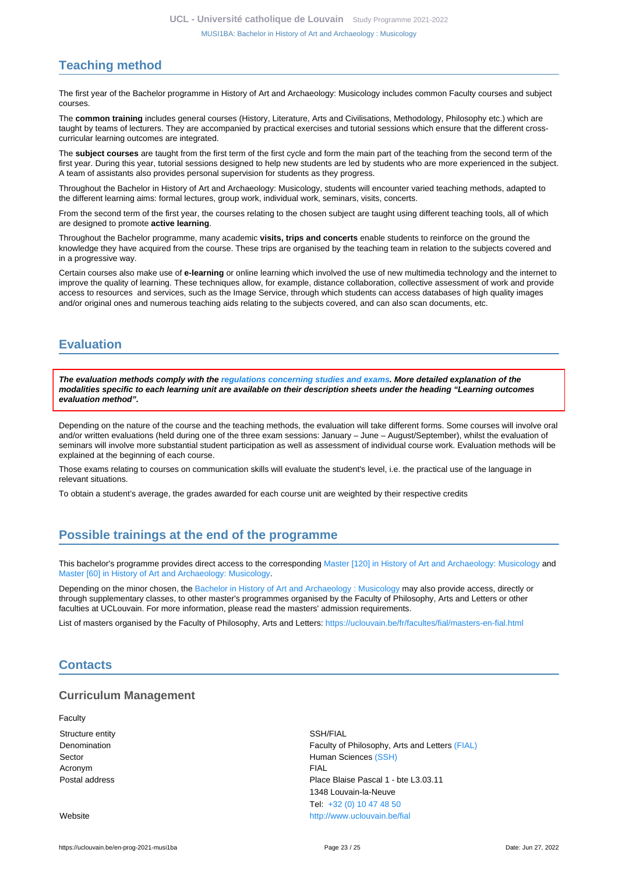# <span id="page-22-0"></span>**Teaching method**

The first year of the Bachelor programme in History of Art and Archaeology: Musicology includes common Faculty courses and subject courses.

The **common training** includes general courses (History, Literature, Arts and Civilisations, Methodology, Philosophy etc.) which are taught by teams of lecturers. They are accompanied by practical exercises and tutorial sessions which ensure that the different crosscurricular learning outcomes are integrated.

The **subject courses** are taught from the first term of the first cycle and form the main part of the teaching from the second term of the first year. During this year, tutorial sessions designed to help new students are led by students who are more experienced in the subject. A team of assistants also provides personal supervision for students as they progress.

Throughout the Bachelor in History of Art and Archaeology: Musicology, students will encounter varied teaching methods, adapted to the different learning aims: formal lectures, group work, individual work, seminars, visits, concerts.

From the second term of the first year, the courses relating to the chosen subject are taught using different teaching tools, all of which are designed to promote **active learning**.

Throughout the Bachelor programme, many academic **visits, trips and concerts** enable students to reinforce on the ground the knowledge they have acquired from the course. These trips are organised by the teaching team in relation to the subjects covered and in a progressive way.

Certain courses also make use of **e-learning** or online learning which involved the use of new multimedia technology and the internet to improve the quality of learning. These techniques allow, for example, distance collaboration, collective assessment of work and provide access to resources and services, such as the Image Service, through which students can access databases of high quality images and/or original ones and numerous teaching aids relating to the subjects covered, and can also scan documents, etc.

# <span id="page-22-1"></span>**Evaluation**

**The evaluation methods comply with the [regulations concerning studies and exams](https://uclouvain.be/fr/decouvrir/rgee.html). More detailed explanation of the modalities specific to each learning unit are available on their description sheets under the heading "Learning outcomes evaluation method".**

Depending on the nature of the course and the teaching methods, the evaluation will take different forms. Some courses will involve oral and/or written evaluations (held during one of the three exam sessions: January – June – August/September), whilst the evaluation of seminars will involve more substantial student participation as well as assessment of individual course work. Evaluation methods will be explained at the beginning of each course.

Those exams relating to courses on communication skills will evaluate the student's level, i.e. the practical use of the language in relevant situations.

To obtain a student's average, the grades awarded for each course unit are weighted by their respective credits

# <span id="page-22-2"></span>**Possible trainings at the end of the programme**

This bachelor's programme provides direct access to the corresponding [Master \[120\] in History of Art and Archaeology: Musicology](https://uclouvain.be/en-prog-2021-musi2m) and [Master \[60\] in History of Art and Archaeology: Musicology](https://uclouvain.be/en-prog-2021-musi2m1).

Depending on the minor chosen, the [Bachelor in History of Art and Archaeology : Musicology](https://uclouvain.be/en-prog-2021-musi1ba) may also provide access, directly or through supplementary classes, to other master's programmes organised by the Faculty of Philosophy, Arts and Letters or other faculties at UCLouvain. For more information, please read the masters' admission requirements.

List of masters organised by the Faculty of Philosophy, Arts and Letters: <https://uclouvain.be/fr/facultes/fial/masters-en-fial.html>

# <span id="page-22-3"></span>**Contacts**

### **Curriculum Management**

**Faculty** Structure entity SSH/FIAL Denomination **Faculty of Philosophy, Arts and Letters [\(FIAL\)](https://uclouvain.be/repertoires/entites/fial)** Faculty of Philosophy, Arts and Letters (FIAL) Sector **Sector** Sector **Human Sciences** [\(SSH\)](https://uclouvain.be/repertoires/entites/ssh) Acronym **FIAL** Postal address Place Blaise Pascal 1 - bte L3.03.11 1348 Louvain-la-Neuve Tel: [+32 \(0\) 10 47 48 50](https://uclouvain.be/tel:+3210474850) Website <http://www.uclouvain.be/fial>